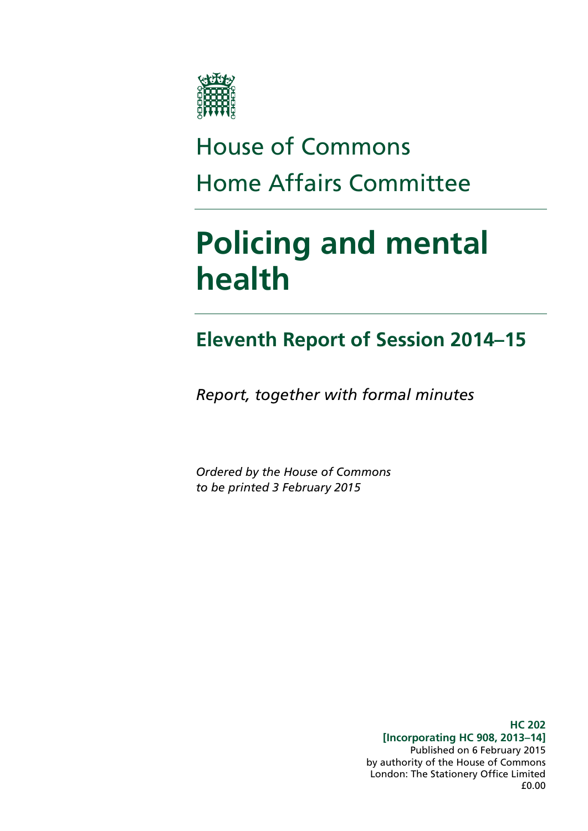

# House of Commons Home Affairs Committee

# **Policing and mental health**

# **Eleventh Report of Session 2014–15**

*Report, together with formal minutes*

*Ordered by the House of Commons to be printed 3 February 2015*

> **HC 202 [Incorporating HC 908, 2013–14]** Published on 6 February 2015 by authority of the House of Commons London: The Stationery Office Limited £0.00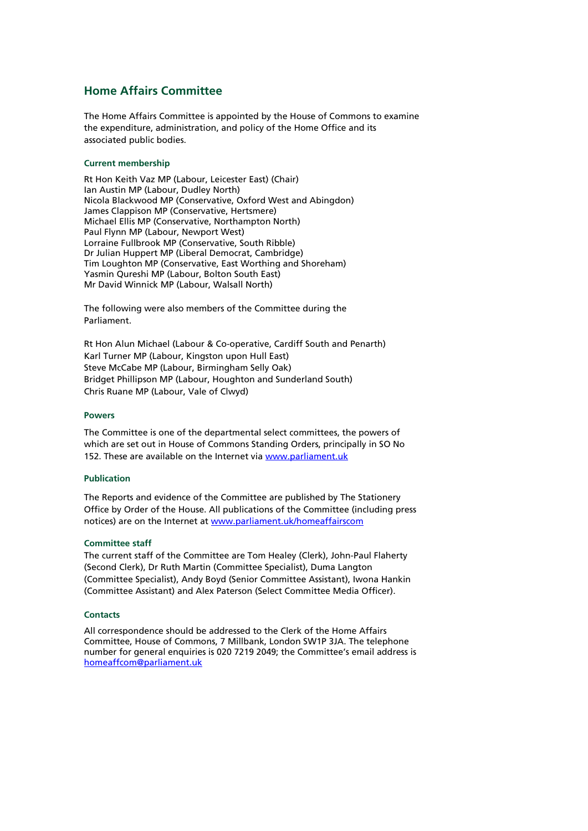#### **Home Affairs Committee**

The Home Affairs Committee is appointed by the House of Commons to examine the expenditure, administration, and policy of the Home Office and its associated public bodies.

#### **Current membership**

Rt Hon Keith Vaz MP (Labour, Leicester East) (Chair) Ian Austin MP (Labour, Dudley North) Nicola Blackwood MP (Conservative, Oxford West and Abingdon) James Clappison MP (Conservative, Hertsmere) Michael Ellis MP (Conservative, Northampton North) Paul Flynn MP (Labour, Newport West) Lorraine Fullbrook MP (Conservative, South Ribble) Dr Julian Huppert MP (Liberal Democrat, Cambridge) Tim Loughton MP (Conservative, East Worthing and Shoreham) Yasmin Qureshi MP (Labour, Bolton South East) Mr David Winnick MP (Labour, Walsall North)

The following were also members of the Committee during the Parliament.

Rt Hon Alun Michael (Labour & Co-operative, Cardiff South and Penarth) Karl Turner MP (Labour, Kingston upon Hull East) Steve McCabe MP (Labour, Birmingham Selly Oak) Bridget Phillipson MP (Labour, Houghton and Sunderland South) Chris Ruane MP (Labour, Vale of Clwyd)

#### **Powers**

The Committee is one of the departmental select committees, the powers of which are set out in House of Commons Standing Orders, principally in SO No 152. These are available on the Internet vi[a www.parliament.uk](http://www.parliament.uk/)

#### **Publication**

The Reports and evidence of the Committee are published by The Stationery Office by Order of the House. All publications of the Committee (including press notices) are on the Internet a[t www.parliament.uk/homeaffairscom](http://www.parliament.uk/homeaffairscom)

#### **Committee staff**

The current staff of the Committee are Tom Healey (Clerk), John-Paul Flaherty (Second Clerk), Dr Ruth Martin (Committee Specialist), Duma Langton (Committee Specialist), Andy Boyd (Senior Committee Assistant), Iwona Hankin (Committee Assistant) and Alex Paterson (Select Committee Media Officer).

#### **Contacts**

All correspondence should be addressed to the Clerk of the Home Affairs Committee, House of Commons, 7 Millbank, London SW1P 3JA. The telephone number for general enquiries is 020 7219 2049; the Committee's email address is [homeaffcom@parliament.uk](mailto:homeaffcom@parliament.uk)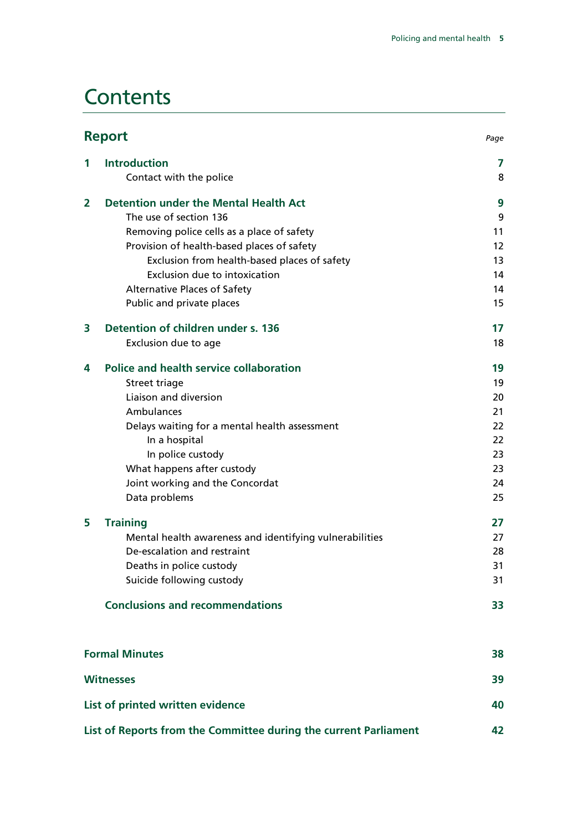# **Contents**

|   | <b>Report</b>                                                    | Page |
|---|------------------------------------------------------------------|------|
| 1 | <b>Introduction</b>                                              | 7    |
|   | Contact with the police                                          | 8    |
| 2 | <b>Detention under the Mental Health Act</b>                     | 9    |
|   | The use of section 136                                           | 9    |
|   | Removing police cells as a place of safety                       | 11   |
|   | Provision of health-based places of safety                       | 12   |
|   | Exclusion from health-based places of safety                     | 13   |
|   | Exclusion due to intoxication                                    | 14   |
|   | Alternative Places of Safety                                     | 14   |
|   | Public and private places                                        | 15   |
| 3 | Detention of children under s. 136                               | 17   |
|   | Exclusion due to age                                             | 18   |
| 4 | <b>Police and health service collaboration</b>                   | 19   |
|   | Street triage                                                    | 19   |
|   | Liaison and diversion                                            | 20   |
|   | Ambulances                                                       | 21   |
|   | Delays waiting for a mental health assessment                    | 22   |
|   | In a hospital                                                    | 22   |
|   | In police custody                                                | 23   |
|   | What happens after custody                                       | 23   |
|   | Joint working and the Concordat                                  | 24   |
|   | Data problems                                                    | 25   |
| 5 | <b>Training</b>                                                  | 27   |
|   | Mental health awareness and identifying vulnerabilities          | 27   |
|   | De-escalation and restraint                                      | 28   |
|   | Deaths in police custody                                         | 31   |
|   | Suicide following custody                                        | 31   |
|   | <b>Conclusions and recommendations</b>                           | 33   |
|   | <b>Formal Minutes</b>                                            | 38   |
|   | <b>Witnesses</b>                                                 | 39   |
|   |                                                                  |      |
|   | List of printed written evidence                                 | 40   |
|   | List of Reports from the Committee during the current Parliament | 42   |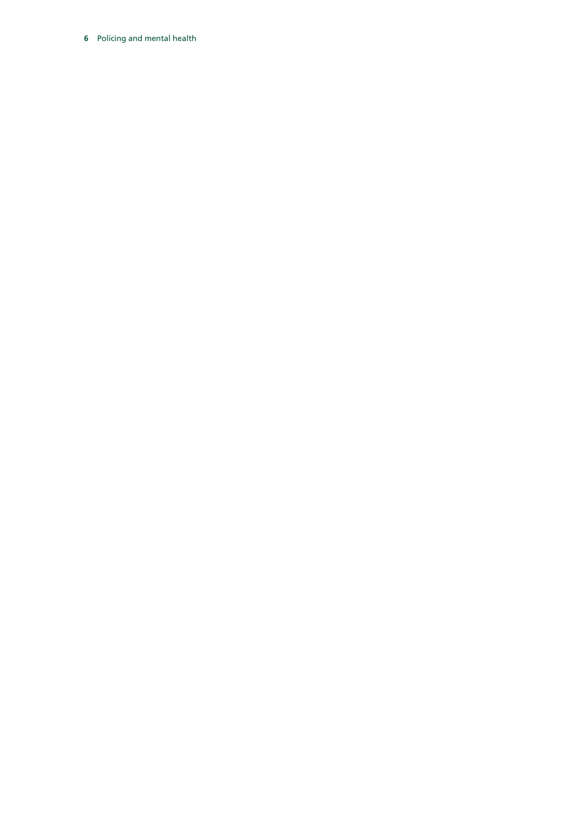Policing and mental health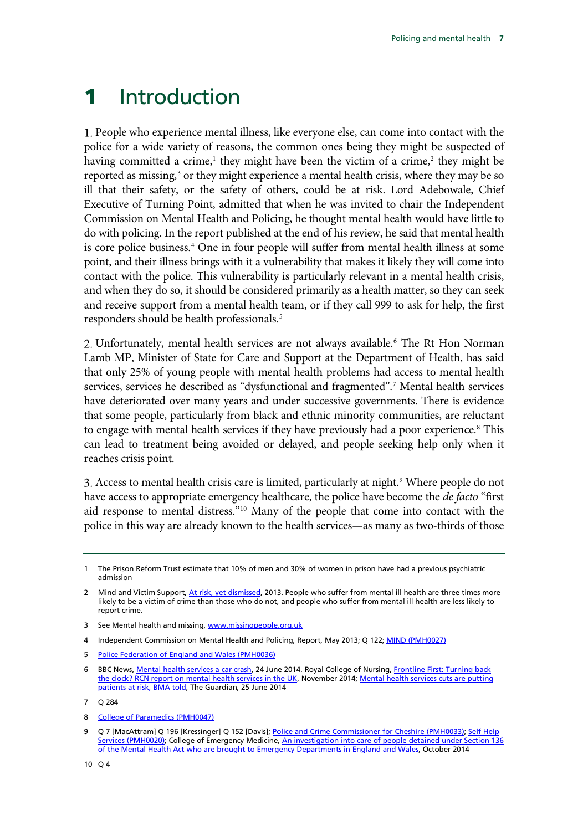### 1 Introduction

People who experience mental illness, like everyone else, can come into contact with the police for a wide variety of reasons, the common ones being they might be suspected of having committed a crime,<sup>[1](#page-4-0)</sup> they might have been the victim of a crime,<sup>[2](#page-4-1)</sup> they might be reported as missing,<sup>[3](#page-4-2)</sup> or they might experience a mental health crisis, where they may be so ill that their safety, or the safety of others, could be at risk. Lord Adebowale, Chief Executive of Turning Point, admitted that when he was invited to chair the Independent Commission on Mental Health and Policing, he thought mental health would have little to do with policing. In the report published at the end of his review, he said that mental health is core police business.[4](#page-4-3) One in four people will suffer from mental health illness at some point, and their illness brings with it a vulnerability that makes it likely they will come into contact with the police. This vulnerability is particularly relevant in a mental health crisis, and when they do so, it should be considered primarily as a health matter, so they can seek and receive support from a mental health team, or if they call 999 to ask for help, the first responders should be health professionals.<sup>[5](#page-4-4)</sup>

2. Unfortunately, mental health services are not always available.<sup>[6](#page-4-5)</sup> The Rt Hon Norman Lamb MP, Minister of State for Care and Support at the Department of Health, has said that only 25% of young people with mental health problems had access to mental health services, services he described as "dysfunctional and fragmented".<sup>[7](#page-4-6)</sup> Mental health services have deteriorated over many years and under successive governments. There is evidence that some people, particularly from black and ethnic minority communities, are reluctant to engage with mental health services if they have previously had a poor experience.<sup>[8](#page-4-7)</sup> This can lead to treatment being avoided or delayed, and people seeking help only when it reaches crisis point.

3. Access to mental health crisis care is limited, particularly at night.<sup>[9](#page-4-8)</sup> Where people do not have access to appropriate emergency healthcare, the police have become the *de facto* "first aid response to mental distress.["10](#page-4-9) Many of the people that come into contact with the police in this way are already known to the health services—as many as two-thirds of those

- <span id="page-4-3"></span>4 Independent Commission on Mental Health and Policing, Report, May 2013; Q 122[; MIND \(PMH0027\)](http://data.parliament.uk/writtenevidence/committeeevidence.svc/evidencedocument/home-affairs-committee/policing-and-mental-health/written/9184.html)
- <span id="page-4-4"></span>5 [Police Federation of England and Wales \(PMH0036\)](http://data.parliament.uk/writtenevidence/committeeevidence.svc/evidencedocument/home-affairs-committee/policing-and-mental-health/written/9343.html)
- <span id="page-4-5"></span>6 BBC News[, Mental health services a car crash,](http://www.bbc.co.uk/news/health-27980677) 24 June 2014. Royal College of Nursing, Frontline First: Turning back [the clock? RCN report on mental health services in the UK,](http://www.rcn.org.uk/__data/assets/pdf_file/0004/600628/004772.pdf) November 2014[; Mental health services cuts are putting](http://www.theguardian.com/society/2014/jun/25/bma-meeting-mental-health-cuts)  [patients at risk, BMA told,](http://www.theguardian.com/society/2014/jun/25/bma-meeting-mental-health-cuts) The Guardian, 25 June 2014

<span id="page-4-0"></span><sup>1</sup> The Prison Reform Trust estimate that 10% of men and 30% of women in prison have had a previous psychiatric admission

<span id="page-4-1"></span><sup>2</sup> Mind and Victim Support[, At risk, yet dismissed,](http://www.mind.org.uk/media/642011/At-risk-yet-dismissed-report.pdf) 2013. People who suffer from mental ill health are three times more likely to be a victim of crime than those who do not, and people who suffer from mental ill health are less likely to report crime.

<span id="page-4-2"></span><sup>3</sup> See Mental health and missing[, www.missingpeople.org.uk](http://www.missingpeople.org.uk/)

<span id="page-4-6"></span><sup>7</sup> Q 284

<span id="page-4-7"></span><sup>8</sup> [College of Paramedics \(PMH0047\)](http://data.parliament.uk/writtenevidence/committeeevidence.svc/evidencedocument/home-affairs-committee/policing-and-mental-health/written/11946.html)

<span id="page-4-9"></span><span id="page-4-8"></span><sup>9</sup> Q 7 [MacAttram] Q 196 [Kressinger] Q 152 [Davis][; Police and Crime Commissioner for Cheshire \(PMH0033\);](http://data.parliament.uk/writtenevidence/committeeevidence.svc/evidencedocument/home-affairs-committee/policing-and-mental-health/written/9209.html) Self Help [Services \(PMH0020\);](http://data.parliament.uk/writtenevidence/committeeevidence.svc/evidencedocument/home-affairs-committee/policing-and-mental-health/written/9168.html) College of Emergency Medicine, An investigation into care of people detained under Section 136 [of the Mental Health Act who are brought to Emergency Departments in England and Wales,](http://www.collemergencymed.ac.uk/CEM/document?id=8099) October 2014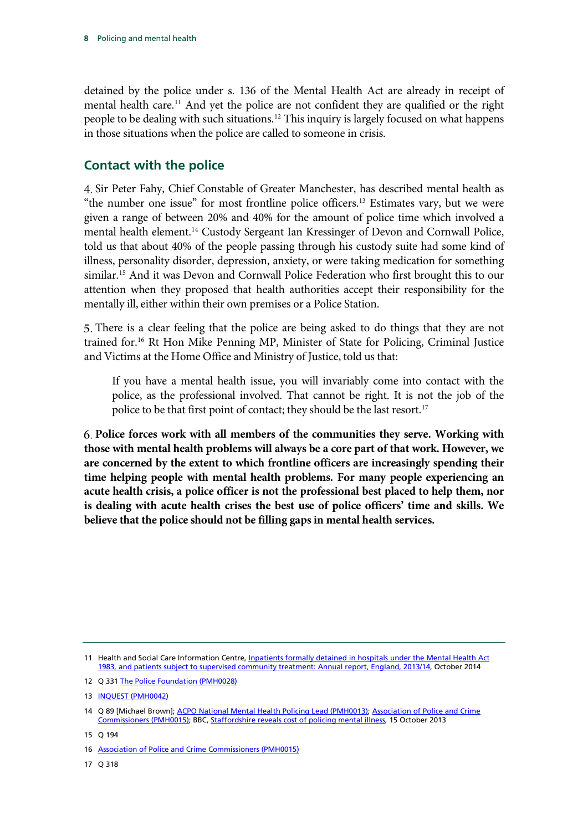detained by the police under s. 136 of the Mental Health Act are already in receipt of mental health care.<sup>[11](#page-5-0)</sup> And yet the police are not confident they are qualified or the right people to be dealing with such situations.[12](#page-5-1) This inquiry is largely focused on what happens in those situations when the police are called to someone in crisis.

### **Contact with the police**

4. Sir Peter Fahy, Chief Constable of Greater Manchester, has described mental health as "the number one issue" for most frontline police officers.<sup>[13](#page-5-2)</sup> Estimates vary, but we were given a range of between 20% and 40% for the amount of police time which involved a mental health element.[14](#page-5-3) Custody Sergeant Ian Kressinger of Devon and Cornwall Police, told us that about 40% of the people passing through his custody suite had some kind of illness, personality disorder, depression, anxiety, or were taking medication for something similar.[15](#page-5-4) And it was Devon and Cornwall Police Federation who first brought this to our attention when they proposed that health authorities accept their responsibility for the mentally ill, either within their own premises or a Police Station.

There is a clear feeling that the police are being asked to do things that they are not trained for[.16](#page-5-5) Rt Hon Mike Penning MP, Minister of State for Policing, Criminal Justice and Victims at the Home Office and Ministry of Justice, told us that:

If you have a mental health issue, you will invariably come into contact with the police, as the professional involved. That cannot be right. It is not the job of the police to be that first point of contact; they should be the last resort.<sup>[17](#page-5-6)</sup>

<span id="page-5-7"></span>**Police forces work with all members of the communities they serve. Working with those with mental health problems will always be a core part of that work. However, we are concerned by the extent to which frontline officers are increasingly spending their time helping people with mental health problems. For many people experiencing an acute health crisis, a police officer is not the professional best placed to help them, nor is dealing with acute health crises the best use of police officers' time and skills. We believe that the police should not be filling gaps in mental health services.**

<span id="page-5-0"></span><sup>11</sup> Health and Social Care Information Centre, Inpatients formally detained in hospitals under the Mental Health Act [1983, and patients subject to supervised community treatment: Annual report, England, 2013/14,](http://www.hscic.gov.uk/5164) October 2014

<span id="page-5-1"></span><sup>12</sup> Q 331 [The Police Foundation \(PMH0028\)](http://data.parliament.uk/writtenevidence/committeeevidence.svc/evidencedocument/home-affairs-committee/policing-and-mental-health/written/9185.html)

<span id="page-5-2"></span><sup>13</sup> **[INQUEST \(PMH0042\)](http://data.parliament.uk/writtenevidence/committeeevidence.svc/evidencedocument/home-affairs-committee/policing-and-mental-health/written/9810.html)** 

<span id="page-5-3"></span><sup>14</sup> Q 89 [Michael Brown][; ACPO National Mental Health Policing Lead \(PMH0013\);](http://data.parliament.uk/writtenevidence/committeeevidence.svc/evidencedocument/home-affairs-committee/policing-and-mental-health/written/9145.html) [Association of Police and Crime](http://data.parliament.uk/writtenevidence/committeeevidence.svc/evidencedocument/home-affairs-committee/policing-and-mental-health/written/9156.html)  [Commissioners \(PMH0015\);](http://data.parliament.uk/writtenevidence/committeeevidence.svc/evidencedocument/home-affairs-committee/policing-and-mental-health/written/9156.html) BBC[, Staffordshire reveals cost of policing mental illness,](http://www.bbc.co.uk/news/uk-england-24523310) 15 October 2013

<span id="page-5-4"></span><sup>15</sup> Q 194

<span id="page-5-6"></span><span id="page-5-5"></span><sup>16</sup> [Association of Police and Crime Commissioners \(PMH0015\)](http://data.parliament.uk/writtenevidence/committeeevidence.svc/evidencedocument/home-affairs-committee/policing-and-mental-health/written/9156.html)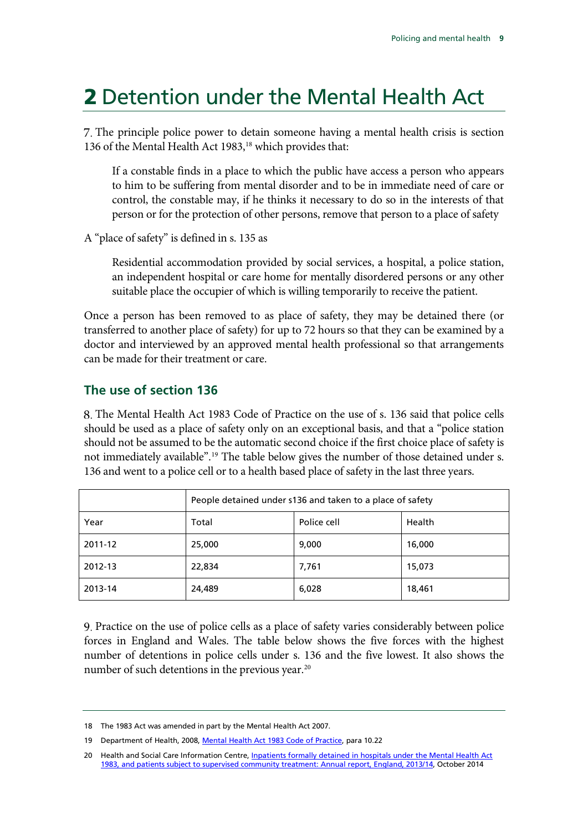# 2 Detention under the Mental Health Act

The principle police power to detain someone having a mental health crisis is section 136 of the Mental Health Act 1983,<sup>[18](#page-6-0)</sup> which provides that:

If a constable finds in a place to which the public have access a person who appears to him to be suffering from mental disorder and to be in immediate need of care or control, the constable may, if he thinks it necessary to do so in the interests of that person or for the protection of other persons, remove that person to a place of safety

A "place of safety" is defined in s. 135 as

Residential accommodation provided by social services, a hospital, a police station, an independent hospital or care home for mentally disordered persons or any other suitable place the occupier of which is willing temporarily to receive the patient.

Once a person has been removed to as place of safety, they may be detained there (or transferred to another place of safety) for up to 72 hours so that they can be examined by a doctor and interviewed by an approved mental health professional so that arrangements can be made for their treatment or care.

### **The use of section 136**

8. The Mental Health Act 1983 Code of Practice on the use of s. 136 said that police cells should be used as a place of safety only on an exceptional basis, and that a "police station should not be assumed to be the automatic second choice if the first choice place of safety is not immediately available". [19](#page-6-1) The table below gives the number of those detained under s. 136 and went to a police cell or to a health based place of safety in the last three years.

|         | People detained under s136 and taken to a place of safety |             |        |  |  |
|---------|-----------------------------------------------------------|-------------|--------|--|--|
| Year    | Total                                                     | Police cell | Health |  |  |
| 2011-12 | 25,000                                                    | 9,000       | 16,000 |  |  |
| 2012-13 | 22,834                                                    | 7,761       | 15,073 |  |  |
| 2013-14 | 24,489                                                    | 6,028       | 18,461 |  |  |

Practice on the use of police cells as a place of safety varies considerably between police forces in England and Wales. The table below shows the five forces with the highest number of detentions in police cells under s. 136 and the five lowest. It also shows the number of such detentions in the previous year.<sup>[20](#page-6-2)</sup>

<span id="page-6-0"></span><sup>18</sup> The 1983 Act was amended in part by the Mental Health Act 2007.

<span id="page-6-1"></span><sup>19</sup> Department of Health, 2008[, Mental Health Act 1983 Code of Practice,](http://webarchive.nationalarchives.gov.uk/20130107105354/http:/www.dh.gov.uk/prod_consum_dh/groups/dh_digitalassets/@dh/@en/documents/digitalasset/dh_087073.pdf) para 10.22

<span id="page-6-2"></span><sup>20</sup> Health and Social Care Information Centre, Inpatients formally detained in hospitals under the Mental Health Act [1983, and patients subject to supervised community treatment: Annual report, England, 2013/14,](http://www.hscic.gov.uk/5164) October 2014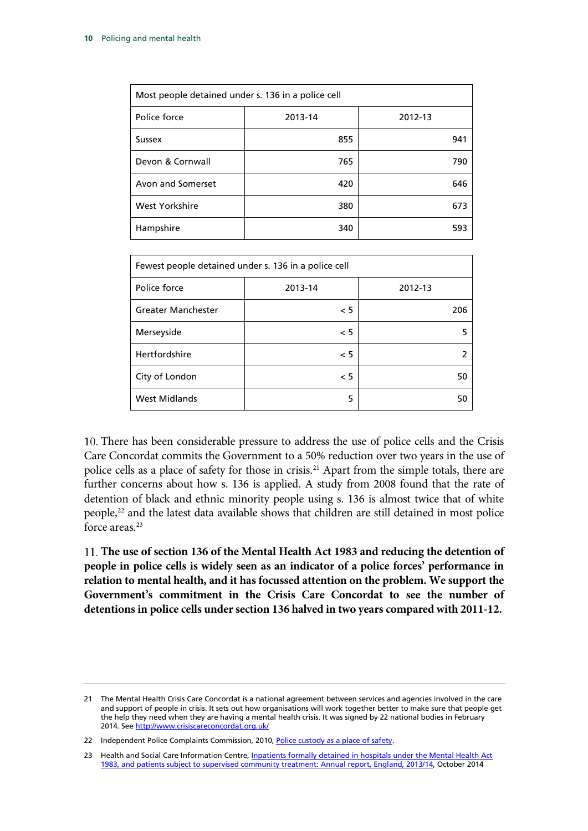| Most people detained under s. 136 in a police cell |         |         |  |  |  |  |
|----------------------------------------------------|---------|---------|--|--|--|--|
| Police force                                       | 2013-14 | 2012-13 |  |  |  |  |
| <b>Sussex</b>                                      | 855     | 941     |  |  |  |  |
| Devon & Cornwall                                   | 765     | 790     |  |  |  |  |
| Avon and Somerset                                  | 420     | 646     |  |  |  |  |
| <b>West Yorkshire</b>                              | 380     | 673     |  |  |  |  |
| Hampshire                                          | 340     | 593     |  |  |  |  |

| Fewest people detained under s. 136 in a police cell |         |         |  |  |  |
|------------------------------------------------------|---------|---------|--|--|--|
| Police force                                         | 2013-14 | 2012-13 |  |  |  |
| <b>Greater Manchester</b>                            | < 5     | 206     |  |  |  |
| Merseyside                                           | < 5     |         |  |  |  |
| Hertfordshire                                        | < 5     |         |  |  |  |
| City of London                                       | < 5     | 50      |  |  |  |
| <b>West Midlands</b>                                 | 5       | 50      |  |  |  |

10. There has been considerable pressure to address the use of police cells and the Crisis Care Concordat commits the Government to a 50% reduction over two years in the use of police cells as a place of safety for those in crisis.<sup>[21](#page-7-0)</sup> Apart from the simple totals, there are further concerns about how s. 136 is applied. A study from 2008 found that the rate of detention of black and ethnic minority people using s. 136 is almost twice that of white people,<sup>[22](#page-7-1)</sup> and the latest data available shows that children are still detained in most police force areas.<sup>[23](#page-7-2)</sup>

<span id="page-7-3"></span>**The use of section 136 of the Mental Health Act 1983 and reducing the detention of people in police cells is widely seen as an indicator of a police forces' performance in relation to mental health, and it has focussed attention on the problem. We support the Government's commitment in the Crisis Care Concordat to see the number of detentions in police cells under section 136 halved in two years compared with 2011-12.**

<span id="page-7-0"></span><sup>21</sup> The Mental Health Crisis Care Concordat is a national agreement between services and agencies involved in the care and support of people in crisis. It sets out how organisations will work together better to make sure that people get the help they need when they are having a mental health crisis. It was signed by 22 national bodies in February 2014. Se[e http://www.crisiscareconcordat.org.uk/](http://www.crisiscareconcordat.org.uk/)

<span id="page-7-1"></span><sup>22</sup> Independent Police Complaints Commission, 2010[, Police custody as a place of safety.](http://www.ipcc.gov.uk/sites/default/files/Documents/section_136.pdf)

<span id="page-7-2"></span><sup>23</sup> Health and Social Care Information Centre, Inpatients formally detained in hospitals under the Mental Health Act [1983, and patients subject to supervised community treatment: Annual report, England, 2013/14,](http://www.hscic.gov.uk/5164) October 2014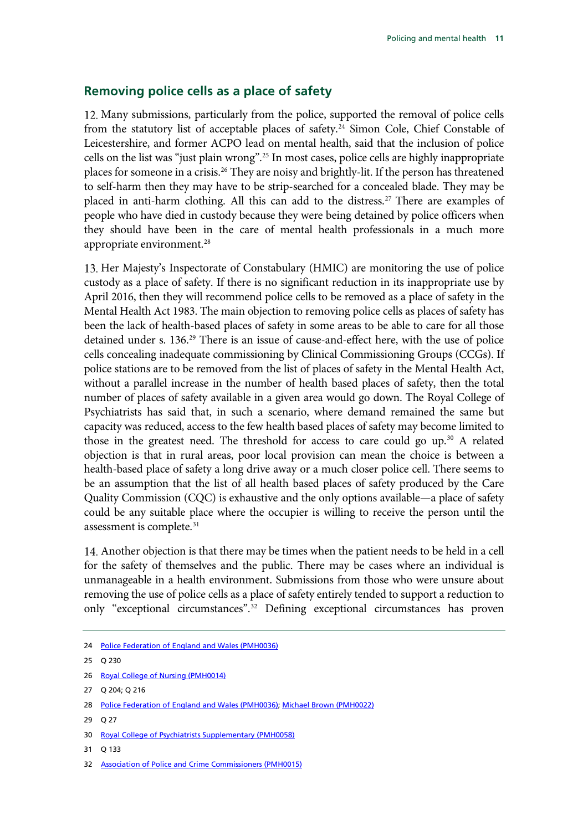#### **Removing police cells as a place of safety**

12. Many submissions, particularly from the police, supported the removal of police cells from the statutory list of acceptable places of safety. [24](#page-8-0) Simon Cole, Chief Constable of Leicestershire, and former ACPO lead on mental health, said that the inclusion of police cells on the list was "just plain wrong".[25](#page-8-1) In most cases, police cells are highly inappropriate places for someone in a crisis.<sup>[26](#page-8-2)</sup> They are noisy and brightly-lit. If the person has threatened to self-harm then they may have to be strip-searched for a concealed blade. They may be placed in anti-harm clothing. All this can add to the distress.<sup>[27](#page-8-3)</sup> There are examples of people who have died in custody because they were being detained by police officers when they should have been in the care of mental health professionals in a much more appropriate environment.<sup>[28](#page-8-4)</sup>

13. Her Majesty's Inspectorate of Constabulary (HMIC) are monitoring the use of police custody as a place of safety. If there is no significant reduction in its inappropriate use by April 2016, then they will recommend police cells to be removed as a place of safety in the Mental Health Act 1983. The main objection to removing police cells as places of safety has been the lack of health-based places of safety in some areas to be able to care for all those detained under s. 136.<sup>[29](#page-8-5)</sup> There is an issue of cause-and-effect here, with the use of police cells concealing inadequate commissioning by Clinical Commissioning Groups (CCGs). If police stations are to be removed from the list of places of safety in the Mental Health Act, without a parallel increase in the number of health based places of safety, then the total number of places of safety available in a given area would go down. The Royal College of Psychiatrists has said that, in such a scenario, where demand remained the same but capacity was reduced, access to the few health based places of safety may become limited to those in the greatest need. The threshold for access to care could go up. [30](#page-8-6) A related objection is that in rural areas, poor local provision can mean the choice is between a health-based place of safety a long drive away or a much closer police cell. There seems to be an assumption that the list of all health based places of safety produced by the Care Quality Commission (CQC) is exhaustive and the only options available—a place of safety could be any suitable place where the occupier is willing to receive the person until the assessment is complete.<sup>[31](#page-8-7)</sup>

Another objection is that there may be times when the patient needs to be held in a cell for the safety of themselves and the public. There may be cases where an individual is unmanageable in a health environment. Submissions from those who were unsure about removing the use of police cells as a place of safety entirely tended to support a reduction to only "exceptional circumstances". [32](#page-8-8) Defining exceptional circumstances has proven

<span id="page-8-0"></span><sup>24</sup> [Police Federation of England and Wales \(PMH0036\)](http://data.parliament.uk/writtenevidence/committeeevidence.svc/evidencedocument/home-affairs-committee/policing-and-mental-health/written/9343.html)

<span id="page-8-1"></span><sup>25</sup> Q 230

<span id="page-8-2"></span><sup>26</sup> [Royal College of Nursing \(PMH0014\)](http://data.parliament.uk/writtenevidence/committeeevidence.svc/evidencedocument/home-affairs-committee/policing-and-mental-health/written/9153.html)

<span id="page-8-3"></span><sup>27</sup> Q 204; Q 216

<span id="page-8-4"></span><sup>28</sup> [Police Federation of England and Wales \(PMH0036\);](http://data.parliament.uk/writtenevidence/committeeevidence.svc/evidencedocument/home-affairs-committee/policing-and-mental-health/written/9343.html) [Michael Brown \(PMH0022\)](http://data.parliament.uk/writtenevidence/committeeevidence.svc/evidencedocument/home-affairs-committee/policing-and-mental-health/written/9176.html)

<span id="page-8-5"></span><sup>29</sup> Q 27

<span id="page-8-6"></span><sup>30</sup> [Royal College of Psychiatrists Supplementary \(PMH0058\)](http://data.parliament.uk/writtenevidence/committeeevidence.svc/evidencedocument/home-affairs-committee/policing-and-mental-health/written/15744.html)

<span id="page-8-7"></span><sup>31</sup> Q 133

<span id="page-8-8"></span><sup>32</sup> [Association of Police and Crime Commissioners \(PMH0015\)](http://data.parliament.uk/writtenevidence/committeeevidence.svc/evidencedocument/home-affairs-committee/policing-and-mental-health/written/9156.html)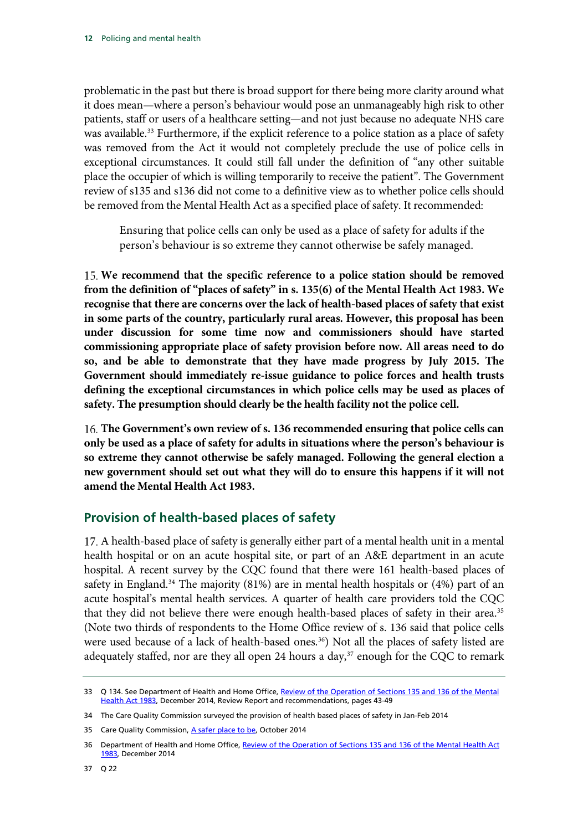problematic in the past but there is broad support for there being more clarity around what it does mean—where a person's behaviour would pose an unmanageably high risk to other patients, staff or users of a healthcare setting—and not just because no adequate NHS care was available.<sup>33</sup> Furthermore, if the explicit reference to a police station as a place of safety was removed from the Act it would not completely preclude the use of police cells in exceptional circumstances. It could still fall under the definition of "any other suitable place the occupier of which is willing temporarily to receive the patient". The Government review of s135 and s136 did not come to a definitive view as to whether police cells should be removed from the Mental Health Act as a specified place of safety. It recommended:

Ensuring that police cells can only be used as a place of safety for adults if the person's behaviour is so extreme they cannot otherwise be safely managed.

<span id="page-9-5"></span>**We recommend that the specific reference to a police station should be removed from the definition of "places of safety" in s. 135(6) of the Mental Health Act 1983. We recognise that there are concerns over the lack of health-based places of safety that exist in some parts of the country, particularly rural areas. However, this proposal has been under discussion for some time now and commissioners should have started commissioning appropriate place of safety provision before now. All areas need to do so, and be able to demonstrate that they have made progress by July 2015. The Government should immediately re-issue guidance to police forces and health trusts defining the exceptional circumstances in which police cells may be used as places of safety. The presumption should clearly be the health facility not the police cell.**

<span id="page-9-6"></span>**The Government's own review of s. 136 recommended ensuring that police cells can only be used as a place of safety for adults in situations where the person's behaviour is so extreme they cannot otherwise be safely managed. Following the general election a new government should set out what they will do to ensure this happens if it will not amend the Mental Health Act 1983.**

### **Provision of health-based places of safety**

A health-based place of safety is generally either part of a mental health unit in a mental health hospital or on an acute hospital site, or part of an A&E department in an acute hospital. A recent survey by the CQC found that there were 161 health-based places of safety in England.<sup>[34](#page-9-1)</sup> The majority  $(81%)$  are in mental health hospitals or  $(4%)$  part of an acute hospital's mental health services. A quarter of health care providers told the CQC that they did not believe there were enough health-based places of safety in their area.<sup>[35](#page-9-2)</sup> (Note two thirds of respondents to the Home Office review of s. 136 said that police cells were used because of a lack of health-based ones.<sup>[36](#page-9-3)</sup>) Not all the places of safety listed are adequately staffed, nor are they all open 24 hours a day, $37$  enough for the CQC to remark

<span id="page-9-0"></span><sup>33</sup> Q 134. See Department of Health and Home Office, Review of the Operation of Sections 135 and 136 of the Mental Health [Act 1983,](https://www.gov.uk/government/uploads/system/uploads/attachment_data/file/389202/S135_and_S136_of_the_Mental_Health_Act_-_full_outcome.pdfhttp:/qna.files.parliament.uk/ws-attachments/172034/original/Review%20of%20the%20Operation%20of%20S135%20and%20S136%20of%20the%20Mental%20Health%20Act%201983%20R%20%20%20.pdf) December 2014, Review Report and recommendations, pages 43-49

<span id="page-9-1"></span><sup>34</sup> The Care Quality Commission surveyed the provision of health based places of safety in Jan-Feb 2014

<span id="page-9-2"></span><sup>35</sup> Care Quality Commission[, A safer place to be,](http://www.cqc.org.uk/sites/default/files/20141021%20CQC_SaferPlace_2014_07_FINAL%20for%20WEB.pdf) October 2014

<span id="page-9-4"></span><span id="page-9-3"></span><sup>36</sup> Department of Health and Home Office, Review of the Operation of Sections 135 and 136 of the Mental Health Act [1983,](https://www.gov.uk/government/uploads/system/uploads/attachment_data/file/389202/S135_and_S136_of_the_Mental_Health_Act_-_full_outcome.pdf) December 2014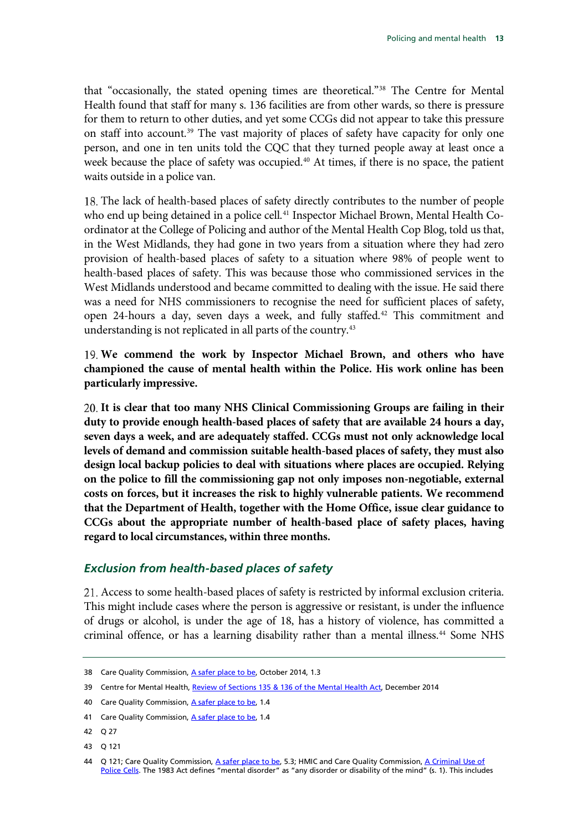that "occasionally, the stated opening times are theoretical."[38](#page-10-0) The Centre for Mental Health found that staff for many s. 136 facilities are from other wards, so there is pressure for them to return to other duties, and yet some CCGs did not appear to take this pressure on staff into account. [39](#page-10-1) The vast majority of places of safety have capacity for only one person, and one in ten units told the CQC that they turned people away at least once a week because the place of safety was occupied.<sup>[40](#page-10-2)</sup> At times, if there is no space, the patient waits outside in a police van.

The lack of health-based places of safety directly contributes to the number of people who end up being detained in a police cell.<sup>41</sup> Inspector Michael Brown, Mental Health Coordinator at the College of Policing and author of the Mental Health Cop Blog, told us that, in the West Midlands, they had gone in two years from a situation where they had zero provision of health-based places of safety to a situation where 98% of people went to health-based places of safety. This was because those who commissioned services in the West Midlands understood and became committed to dealing with the issue. He said there was a need for NHS commissioners to recognise the need for sufficient places of safety, open 24-hours a day, seven days a week, and fully staffed.<sup>[42](#page-10-4)</sup> This commitment and understanding is not replicated in all parts of the country.<sup>[43](#page-10-5)</sup>

<span id="page-10-7"></span>**We commend the work by Inspector Michael Brown, and others who have championed the cause of mental health within the Police. His work online has been particularly impressive.**

<span id="page-10-8"></span>**It is clear that too many NHS Clinical Commissioning Groups are failing in their duty to provide enough health-based places of safety that are available 24 hours a day, seven days a week, and are adequately staffed. CCGs must not only acknowledge local levels of demand and commission suitable health-based places of safety, they must also design local backup policies to deal with situations where places are occupied. Relying on the police to fill the commissioning gap not only imposes non-negotiable, external costs on forces, but it increases the risk to highly vulnerable patients. We recommend that the Department of Health, together with the Home Office, issue clear guidance to CCGs about the appropriate number of health-based place of safety places, having regard to local circumstances, within three months.**

#### *Exclusion from health-based places of safety*

Access to some health-based places of safety is restricted by informal exclusion criteria. This might include cases where the person is aggressive or resistant, is under the influence of drugs or alcohol, is under the age of 18, has a history of violence, has committed a criminal offence, or has a learning disability rather than a mental illness.<sup>[44](#page-10-6)</sup> Some NHS

<span id="page-10-0"></span><sup>38</sup> Care Quality Commission[, A safer place to be,](http://www.cqc.org.uk/sites/default/files/20141021%20CQC_SaferPlace_2014_07_FINAL%20for%20WEB.pdf) October 2014, 1.3

<span id="page-10-1"></span><sup>39</sup> Centre for Mental Health[, Review of Sections 135 & 136 of the Mental Health Act,](http://www.centreformentalhealth.org.uk/pdfs/Centre_for_MH_review_of_sections_135_136.pdf) December 2014

<span id="page-10-2"></span><sup>40</sup> Care Quality Commission[, A safer place to be,](http://www.cqc.org.uk/sites/default/files/20141021%20CQC_SaferPlace_2014_07_FINAL%20for%20WEB.pdf) 1.4

<span id="page-10-3"></span><sup>41</sup> Care Quality Commission[, A safer place to be,](http://www.cqc.org.uk/sites/default/files/20141021%20CQC_SaferPlace_2014_07_FINAL%20for%20WEB.pdf) 1.4

<span id="page-10-4"></span><sup>42</sup> Q 27

<span id="page-10-6"></span><span id="page-10-5"></span><sup>44</sup> Q 121; Care Quality Commission, [A safer place to be,](http://www.cqc.org.uk/sites/default/files/20141021%20CQC_SaferPlace_2014_07_FINAL%20for%20WEB.pdf) 5.3; HMIC and Care Quality Commission, A Criminal Use of [Police Cells.](http://www.justiceinspectorates.gov.uk/hmic/media/a-criminal-use-of-police-cells-20130620.pdf) The 1983 Act defines "mental disorder" as "any disorder or disability of the mind" (s. 1). This includes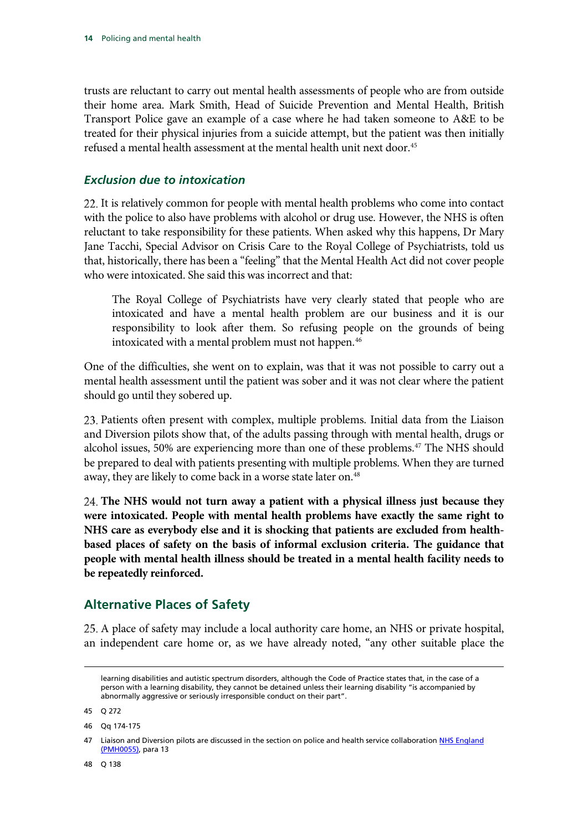trusts are reluctant to carry out mental health assessments of people who are from outside their home area. Mark Smith, Head of Suicide Prevention and Mental Health, British Transport Police gave an example of a case where he had taken someone to A&E to be treated for their physical injuries from a suicide attempt, but the patient was then initially refused a mental health assessment at the mental health unit next door.<sup>[45](#page-11-0)</sup>

#### *Exclusion due to intoxication*

22. It is relatively common for people with mental health problems who come into contact with the police to also have problems with alcohol or drug use. However, the NHS is often reluctant to take responsibility for these patients. When asked why this happens, Dr Mary Jane Tacchi, Special Advisor on Crisis Care to the Royal College of Psychiatrists, told us that, historically, there has been a "feeling" that the Mental Health Act did not cover people who were intoxicated. She said this was incorrect and that:

The Royal College of Psychiatrists have very clearly stated that people who are intoxicated and have a mental health problem are our business and it is our responsibility to look after them. So refusing people on the grounds of being intoxicated with a mental problem must not happen.<sup>[46](#page-11-1)</sup>

One of the difficulties, she went on to explain, was that it was not possible to carry out a mental health assessment until the patient was sober and it was not clear where the patient should go until they sobered up.

23. Patients often present with complex, multiple problems. Initial data from the Liaison and Diversion pilots show that, of the adults passing through with mental health, drugs or alcohol issues, 50% are experiencing more than one of these problems.<sup>[47](#page-11-2)</sup> The NHS should be prepared to deal with patients presenting with multiple problems. When they are turned away, they are likely to come back in a worse state later on.<sup>[48](#page-11-3)</sup>

<span id="page-11-4"></span>**The NHS would not turn away a patient with a physical illness just because they were intoxicated. People with mental health problems have exactly the same right to NHS care as everybody else and it is shocking that patients are excluded from healthbased places of safety on the basis of informal exclusion criteria. The guidance that people with mental health illness should be treated in a mental health facility needs to be repeatedly reinforced.**

### **Alternative Places of Safety**

A place of safety may include a local authority care home, an NHS or private hospital, an independent care home or, as we have already noted, "any other suitable place the

-

learning disabilities and autistic spectrum disorders, although the Code of Practice states that, in the case of a person with a learning disability, they cannot be detained unless their learning disability "is accompanied by abnormally aggressive or seriously irresponsible conduct on their part".

<span id="page-11-0"></span><sup>45</sup> Q 272

<span id="page-11-1"></span><sup>46</sup> Qq 174-175

<span id="page-11-3"></span><span id="page-11-2"></span><sup>47</sup> Liaison and Diversion pilots are discussed in the section on police and health service collaboration NHS England [\(PMH0055\),](http://data.parliament.uk/writtenevidence/committeeevidence.svc/evidencedocument/home-affairs-committee/policing-and-mental-health/written/15572.html) para 13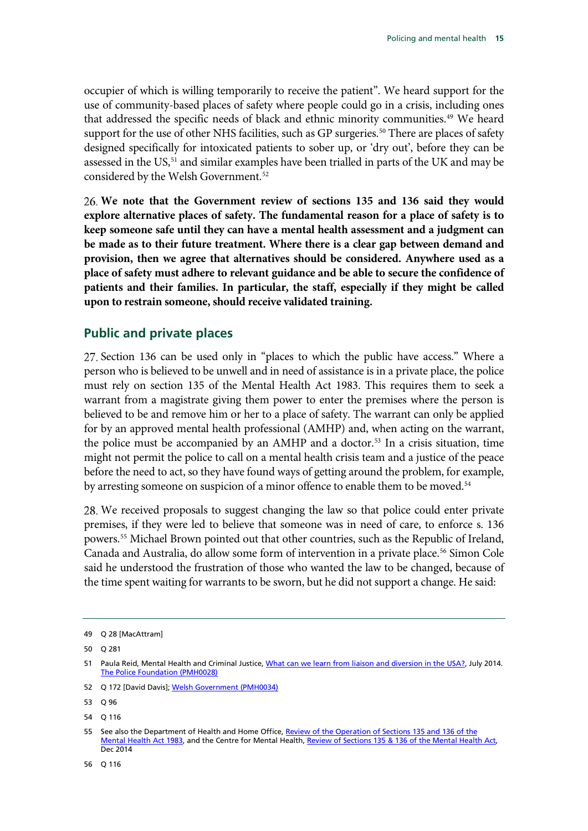occupier of which is willing temporarily to receive the patient". We heard support for the use of community-based places of safety where people could go in a crisis, including ones that addressed the specific needs of black and ethnic minority communities.<sup>49</sup> We heard support for the use of other NHS facilities, such as GP surgeries. [50](#page-12-1) There are places of safety designed specifically for intoxicated patients to sober up, or 'dry out', before they can be assessed in the US,<sup>[51](#page-12-2)</sup> and similar examples have been trialled in parts of the UK and may be considered by the Welsh Government.<sup>[52](#page-12-3)</sup>

<span id="page-12-8"></span>**We note that the Government review of sections 135 and 136 said they would explore alternative places of safety. The fundamental reason for a place of safety is to keep someone safe until they can have a mental health assessment and a judgment can be made as to their future treatment. Where there is a clear gap between demand and provision, then we agree that alternatives should be considered. Anywhere used as a place of safety must adhere to relevant guidance and be able to secure the confidence of patients and their families. In particular, the staff, especially if they might be called upon to restrain someone, should receive validated training.**

#### **Public and private places**

27. Section 136 can be used only in "places to which the public have access." Where a person who is believed to be unwell and in need of assistance is in a private place, the police must rely on section 135 of the Mental Health Act 1983. This requires them to seek a warrant from a magistrate giving them power to enter the premises where the person is believed to be and remove him or her to a place of safety. The warrant can only be applied for by an approved mental health professional (AMHP) and, when acting on the warrant, the police must be accompanied by an AMHP and a doctor.<sup>[53](#page-12-4)</sup> In a crisis situation, time might not permit the police to call on a mental health crisis team and a justice of the peace before the need to act, so they have found ways of getting around the problem, for example, by arresting someone on suspicion of a minor offence to enable them to be moved. [54](#page-12-5)

We received proposals to suggest changing the law so that police could enter private premises, if they were led to believe that someone was in need of care, to enforce s. 136 powers.[55](#page-12-6) Michael Brown pointed out that other countries, such as the Republic of Ireland, Canada and Australia, do allow some form of intervention in a private place. [56](#page-12-7) Simon Cole said he understood the frustration of those who wanted the law to be changed, because of the time spent waiting for warrants to be sworn, but he did not support a change. He said:

<span id="page-12-0"></span><sup>49</sup> Q 28 [MacAttram]

<span id="page-12-1"></span><sup>50</sup> Q 281

<span id="page-12-2"></span><sup>51</sup> Paula Reid, Mental Health and Criminal Justice[, What can we learn from liaison and diversion in the USA?,](http://www.wcmt.org.uk/sites/default/files/migrated-reports/1190_1.pdf) July 2014. [The Police Foundation \(PMH0028\)](http://data.parliament.uk/writtenevidence/committeeevidence.svc/evidencedocument/home-affairs-committee/policing-and-mental-health/written/9185.html)

<span id="page-12-3"></span><sup>52</sup> Q 172 [David Davis][; Welsh Government \(PMH0034\)](http://data.parliament.uk/writtenevidence/committeeevidence.svc/evidencedocument/home-affairs-committee/policing-and-mental-health/written/9228.html)

<span id="page-12-4"></span><sup>53</sup> Q 96

<span id="page-12-5"></span><sup>54</sup> Q 116

<span id="page-12-7"></span><span id="page-12-6"></span><sup>55</sup> See also the Department of Health and Home Office, Review of the Operation of Sections 135 and 136 of the [Mental Health Act 1983,](https://www.gov.uk/government/uploads/system/uploads/attachment_data/file/389202/S135_and_S136_of_the_Mental_Health_Act_-_full_outcome.pdfhttp:/qna.files.parliament.uk/ws-attachments/172034/original/Review%20of%20the%20Operation%20of%20S135%20and%20S136%20of%20the%20Mental%20Health%20Act%201983%20R%20%20%20.pdf) and the Centre for Mental Health, [Review of Sections 135 & 136 of the Mental Health Act,](http://www.centreformentalhealth.org.uk/pdfs/Centre_for_MH_review_of_sections_135_136.pdf) Dec 2014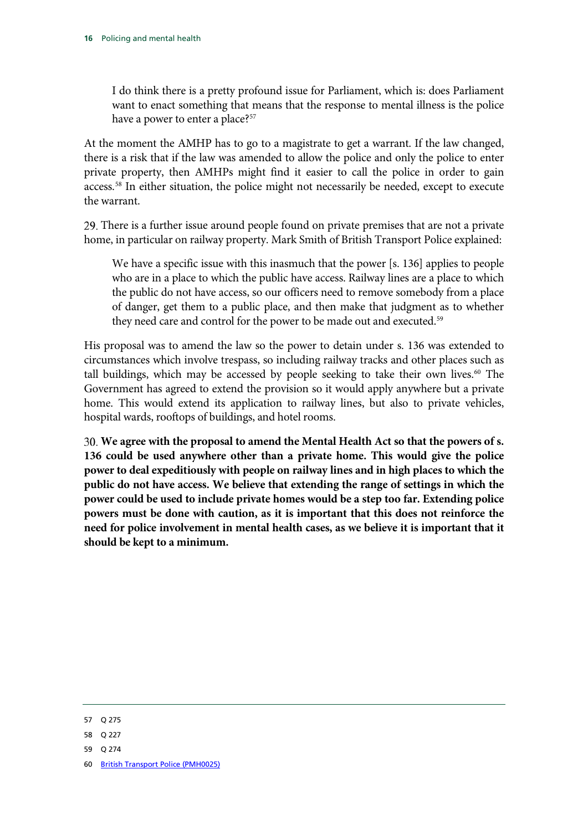I do think there is a pretty profound issue for Parliament, which is: does Parliament want to enact something that means that the response to mental illness is the police have a power to enter a place?<sup>[57](#page-13-0)</sup>

At the moment the AMHP has to go to a magistrate to get a warrant. If the law changed, there is a risk that if the law was amended to allow the police and only the police to enter private property, then AMHPs might find it easier to call the police in order to gain access.<sup>[58](#page-13-1)</sup> In either situation, the police might not necessarily be needed, except to execute the warrant.

There is a further issue around people found on private premises that are not a private home, in particular on railway property. Mark Smith of British Transport Police explained:

We have a specific issue with this inasmuch that the power [s. 136] applies to people who are in a place to which the public have access. Railway lines are a place to which the public do not have access, so our officers need to remove somebody from a place of danger, get them to a public place, and then make that judgment as to whether they need care and control for the power to be made out and executed.<sup>59</sup>

His proposal was to amend the law so the power to detain under s. 136 was extended to circumstances which involve trespass, so including railway tracks and other places such as tall buildings, which may be accessed by people seeking to take their own lives.<sup>60</sup> The Government has agreed to extend the provision so it would apply anywhere but a private home. This would extend its application to railway lines, but also to private vehicles, hospital wards, rooftops of buildings, and hotel rooms.

<span id="page-13-4"></span>**We agree with the proposal to amend the Mental Health Act so that the powers of s. 136 could be used anywhere other than a private home. This would give the police power to deal expeditiously with people on railway lines and in high places to which the public do not have access. We believe that extending the range of settings in which the power could be used to include private homes would be a step too far. Extending police powers must be done with caution, as it is important that this does not reinforce the need for police involvement in mental health cases, as we believe it is important that it should be kept to a minimum.**

- <span id="page-13-1"></span>58 Q 227
- <span id="page-13-3"></span><span id="page-13-2"></span>59 Q 274

<span id="page-13-0"></span><sup>57</sup> Q 275

<sup>60</sup> [British Transport Police \(PMH0025\)](http://data.parliament.uk/writtenevidence/committeeevidence.svc/evidencedocument/home-affairs-committee/policing-and-mental-health/written/9179.html)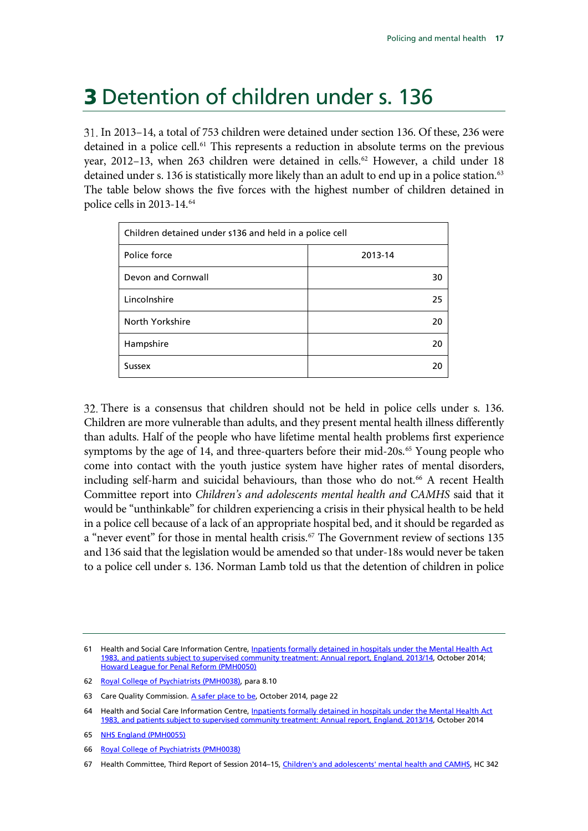# 3 Detention of children under s. 136

In 2013–14, a total of 753 children were detained under section 136. Of these, 236 were detained in a police cell.<sup>61</sup> This represents a reduction in absolute terms on the previous year, 2012-13, when 263 children were detained in cells.<sup>[62](#page-14-1)</sup> However, a child under 18 detained under s. 136 is statistically more likely than an adult to end up in a police station.<sup>[63](#page-14-2)</sup> The table below shows the five forces with the highest number of children detained in police cells in 2013-14.[64](#page-14-3)

| Children detained under s136 and held in a police cell |         |  |  |  |
|--------------------------------------------------------|---------|--|--|--|
| Police force                                           | 2013-14 |  |  |  |
| Devon and Cornwall                                     | 30      |  |  |  |
| Lincolnshire                                           | 25      |  |  |  |
| North Yorkshire                                        | 20      |  |  |  |
| Hampshire                                              | 20      |  |  |  |
| Sussex                                                 | 20      |  |  |  |

There is a consensus that children should not be held in police cells under s. 136. Children are more vulnerable than adults, and they present mental health illness differently than adults. Half of the people who have lifetime mental health problems first experience symptoms by the age of 14, and three-quarters before their mid-20s.<sup>[65](#page-14-4)</sup> Young people who come into contact with the youth justice system have higher rates of mental disorders, including self-harm and suicidal behaviours, than those who do not.<sup>[66](#page-14-5)</sup> A recent Health Committee report into *Children's and adolescents mental health and CAMHS* said that it would be "unthinkable" for children experiencing a crisis in their physical health to be held in a police cell because of a lack of an appropriate hospital bed, and it should be regarded as a "never event" for those in mental health crisis. [67](#page-14-6) The Government review of sections 135 and 136 said that the legislation would be amended so that under-18s would never be taken to a police cell under s. 136. Norman Lamb told us that the detention of children in police

<span id="page-14-0"></span><sup>61</sup> Health and Social Care Information Centre, Inpatients formally detained in hospitals under the Mental Health Act [1983, and patients subject to supervised community treatment: Annual report, England, 2013/14,](http://www.hscic.gov.uk/5164) October 2014; [Howard League for Penal Reform \(PMH0050\)](http://data.parliament.uk/writtenevidence/committeeevidence.svc/evidencedocument/home-affairs-committee/policing-and-mental-health/written/12453.html)

<span id="page-14-1"></span><sup>62</sup> [Royal College of Psychiatrists \(PMH0038\),](http://data.parliament.uk/writtenevidence/committeeevidence.svc/evidencedocument/home-affairs-committee/policing-and-mental-health/written/9482.html) para 8.10

<span id="page-14-2"></span><sup>63</sup> Care Quality Commission[. A safer place to be,](http://www.cqc.org.uk/content/safer-place-be-0) October 2014, page 22

<span id="page-14-3"></span><sup>64</sup> Health and Social Care Information Centre, Inpatients formally detained in hospitals under the Mental Health Act [1983, and patients subject to supervised community treatment: Annual report, England, 2013/14,](http://www.hscic.gov.uk/5164) October 2014

<span id="page-14-4"></span><sup>65</sup> [NHS England \(PMH0055\)](http://data.parliament.uk/writtenevidence/committeeevidence.svc/evidencedocument/home-affairs-committee/policing-and-mental-health/written/15572.html)

<span id="page-14-5"></span><sup>66</sup> [Royal College of Psychiatrists \(PMH0038\)](http://data.parliament.uk/writtenevidence/committeeevidence.svc/evidencedocument/home-affairs-committee/policing-and-mental-health/written/9482.html)

<span id="page-14-6"></span><sup>67</sup> Health Committee, Third Report of Session 2014-15[, Children's and adolescents' mental health and CAMHS,](http://www.publications.parliament.uk/pa/cm201415/cmselect/cmhealth/342/342.pdf) HC 342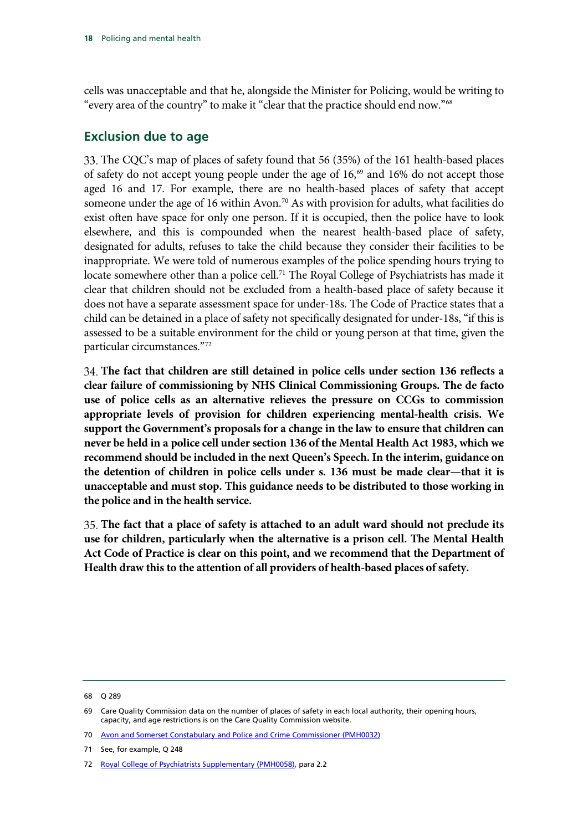cells was unacceptable and that he, alongside the Minister for Policing, would be writing to "every area of the country" to make it "clear that the practice should end now."[68](#page-15-0)

### **Exclusion due to age**

The CQC's map of places of safety found that 56 (35%) of the 161 health-based places of safety do not accept young people under the age of  $16<sup>69</sup>$  and  $16%$  do not accept those aged 16 and 17. For example, there are no health-based places of safety that accept someone under the age of 16 within Avon.<sup>70</sup> As with provision for adults, what facilities do exist often have space for only one person. If it is occupied, then the police have to look elsewhere, and this is compounded when the nearest health-based place of safety, designated for adults, refuses to take the child because they consider their facilities to be inappropriate. We were told of numerous examples of the police spending hours trying to locate somewhere other than a police cell.<sup>[71](#page-15-3)</sup> The Royal College of Psychiatrists has made it clear that children should not be excluded from a health-based place of safety because it does not have a separate assessment space for under-18s. The Code of Practice states that a child can be detained in a place of safety not specifically designated for under-18s, "if this is assessed to be a suitable environment for the child or young person at that time, given the particular circumstances."[72](#page-15-4)

<span id="page-15-5"></span>**The fact that children are still detained in police cells under section 136 reflects a clear failure of commissioning by NHS Clinical Commissioning Groups. The de facto use of police cells as an alternative relieves the pressure on CCGs to commission appropriate levels of provision for children experiencing mental-health crisis. We support the Government's proposals for a change in the law to ensure that children can never be held in a police cell under section 136 of the Mental Health Act 1983, which we recommend should be included in the next Queen's Speech. In the interim, guidance on the detention of children in police cells under s. 136 must be made clear—that it is unacceptable and must stop. This guidance needs to be distributed to those working in the police and in the health service.** 

<span id="page-15-6"></span>**The fact that a place of safety is attached to an adult ward should not preclude its use for children, particularly when the alternative is a prison cell. The Mental Health Act Code of Practice is clear on this point, and we recommend that the Department of Health draw this to the attention of all providers of health-based places of safety.**

<span id="page-15-0"></span><sup>68</sup> Q 289

<span id="page-15-1"></span><sup>69</sup> Care Quality Commission data on the number of places of safety in each local authority, their opening hours, capacity, and age restrictions is on the Care Quality Commission website.

<span id="page-15-2"></span><sup>70</sup> [Avon and Somerset Constabulary and Police and Crime Commissioner \(PMH0032\)](http://data.parliament.uk/writtenevidence/committeeevidence.svc/evidencedocument/home-affairs-committee/policing-and-mental-health/written/9199.html)

<span id="page-15-3"></span><sup>71</sup> See, for example, Q 248

<span id="page-15-4"></span><sup>72</sup> [Royal College of Psychiatrists Supplementary \(PMH0058\),](http://data.parliament.uk/writtenevidence/committeeevidence.svc/evidencedocument/home-affairs-committee/policing-and-mental-health/written/15744.html) para 2.2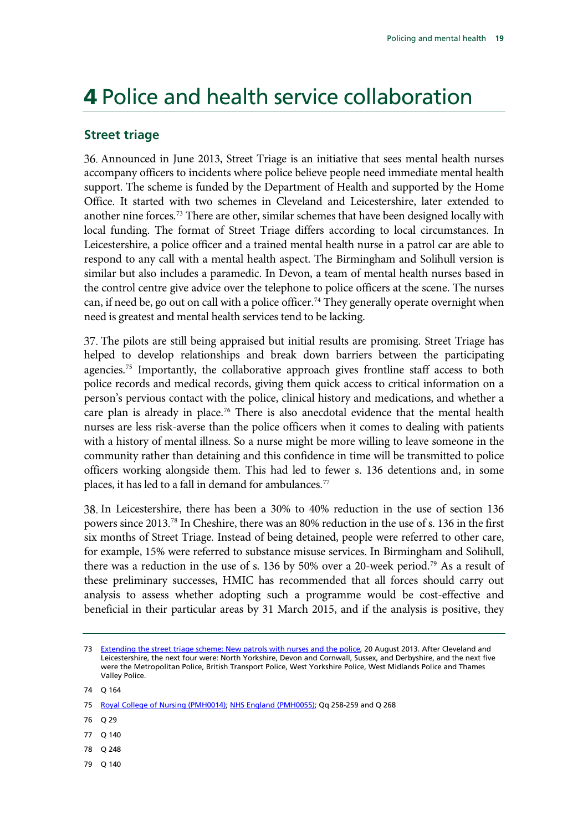## 4 Police and health service collaboration

#### **Street triage**

Announced in June 2013, Street Triage is an initiative that sees mental health nurses accompany officers to incidents where police believe people need immediate mental health support. The scheme is funded by the Department of Health and supported by the Home Office. It started with two schemes in Cleveland and Leicestershire, later extended to another nine forces.<sup>[73](#page-16-0)</sup> There are other, similar schemes that have been designed locally with local funding. The format of Street Triage differs according to local circumstances. In Leicestershire, a police officer and a trained mental health nurse in a patrol car are able to respond to any call with a mental health aspect. The Birmingham and Solihull version is similar but also includes a paramedic. In Devon, a team of mental health nurses based in the control centre give advice over the telephone to police officers at the scene. The nurses can, if need be, go out on call with a police officer.<sup>[74](#page-16-1)</sup> They generally operate overnight when need is greatest and mental health services tend to be lacking.

The pilots are still being appraised but initial results are promising. Street Triage has helped to develop relationships and break down barriers between the participating agencies.<sup>75</sup> Importantly, the collaborative approach gives frontline staff access to both police records and medical records, giving them quick access to critical information on a person's pervious contact with the police, clinical history and medications, and whether a care plan is already in place.<sup>[76](#page-16-3)</sup> There is also anecdotal evidence that the mental health nurses are less risk-averse than the police officers when it comes to dealing with patients with a history of mental illness. So a nurse might be more willing to leave someone in the community rather than detaining and this confidence in time will be transmitted to police officers working alongside them. This had led to fewer s. 136 detentions and, in some places, it has led to a fall in demand for ambulances.<sup>[77](#page-16-4)</sup>

In Leicestershire, there has been a 30% to 40% reduction in the use of section 136 powers since 2013.[78](#page-16-5) In Cheshire, there was an 80% reduction in the use of s. 136 in the first six months of Street Triage. Instead of being detained, people were referred to other care, for example, 15% were referred to substance misuse services. In Birmingham and Solihull, there was a reduction in the use of s. 136 by 50% over a 20-week period.[79](#page-16-6) As a result of these preliminary successes, HMIC has recommended that all forces should carry out analysis to assess whether adopting such a programme would be cost-effective and beneficial in their particular areas by 31 March 2015, and if the analysis is positive, they

- <span id="page-16-4"></span>77 Q 140
- <span id="page-16-5"></span>78 Q 248
- <span id="page-16-6"></span>79 Q 140

<span id="page-16-0"></span><sup>73</sup> [Extending the street triage scheme: New patrols with nurses and the police,](https://www.gov.uk/government/news/extending-the-street-triage-scheme-new-patrols-with-nurses-and-the-police) 20 August 2013. After Cleveland and Leicestershire, the next four were: North Yorkshire, Devon and Cornwall, Sussex, and Derbyshire, and the next five were the Metropolitan Police, British Transport Police, West Yorkshire Police, West Midlands Police and Thames Valley Police.

<span id="page-16-2"></span><span id="page-16-1"></span><sup>75</sup> [Royal College of Nursing \(PMH0014\);](http://data.parliament.uk/writtenevidence/committeeevidence.svc/evidencedocument/home-affairs-committee/policing-and-mental-health/written/9153.html) [NHS England \(PMH0055\);](http://data.parliament.uk/writtenevidence/committeeevidence.svc/evidencedocument/home-affairs-committee/policing-and-mental-health/written/15572.html) Qq 258-259 and Q 268

<span id="page-16-3"></span><sup>76</sup> Q 29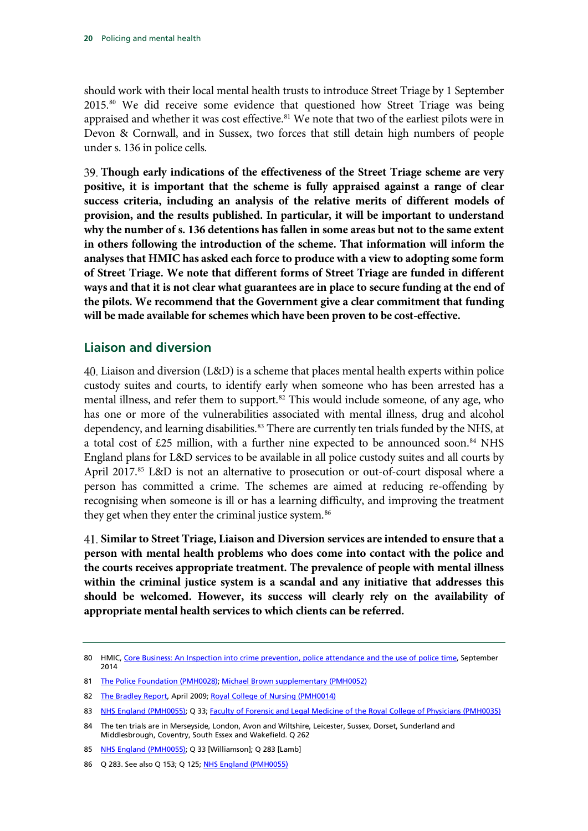should work with their local mental health trusts to introduce Street Triage by 1 September 2015.[80](#page-17-0) We did receive some evidence that questioned how Street Triage was being appraised and whether it was cost effective.<sup>[81](#page-17-1)</sup> We note that two of the earliest pilots were in Devon & Cornwall, and in Sussex, two forces that still detain high numbers of people under s. 136 in police cells.

<span id="page-17-7"></span>**Though early indications of the effectiveness of the Street Triage scheme are very positive, it is important that the scheme is fully appraised against a range of clear success criteria, including an analysis of the relative merits of different models of provision, and the results published. In particular, it will be important to understand why the number of s. 136 detentions has fallen in some areas but not to the same extent in others following the introduction of the scheme. That information will inform the analyses that HMIC has asked each force to produce with a view to adopting some form of Street Triage. We note that different forms of Street Triage are funded in different ways and that it is not clear what guarantees are in place to secure funding at the end of the pilots. We recommend that the Government give a clear commitment that funding will be made available for schemes which have been proven to be cost-effective.**

#### **Liaison and diversion**

Liaison and diversion (L&D) is a scheme that places mental health experts within police custody suites and courts, to identify early when someone who has been arrested has a mental illness, and refer them to support.<sup>[82](#page-17-2)</sup> This would include someone, of any age, who has one or more of the vulnerabilities associated with mental illness, drug and alcohol dependency, and learning disabilities.<sup>[83](#page-17-3)</sup> There are currently ten trials funded by the NHS, at a total cost of £25 million, with a further nine expected to be announced soon.<sup>[84](#page-17-4)</sup> NHS England plans for L&D services to be available in all police custody suites and all courts by April 2017. [85](#page-17-5) L&D is not an alternative to prosecution or out-of-court disposal where a person has committed a crime. The schemes are aimed at reducing re-offending by recognising when someone is ill or has a learning difficulty, and improving the treatment they get when they enter the criminal justice system.<sup>[86](#page-17-6)</sup>

<span id="page-17-8"></span>**Similar to Street Triage, Liaison and Diversion services are intended to ensure that a person with mental health problems who does come into contact with the police and the courts receives appropriate treatment. The prevalence of people with mental illness within the criminal justice system is a scandal and any initiative that addresses this should be welcomed. However, its success will clearly rely on the availability of appropriate mental health servicesto which clients can be referred.**

<span id="page-17-0"></span><sup>80</sup> HMIC, Core Business: [An Inspection into crime prevention, police attendance and the use of police time,](http://www.justiceinspectorates.gov.uk/hmic/wp-content/uploads/core-business.pdf) September 2014

<span id="page-17-1"></span><sup>81</sup> [The Police Foundation \(PMH0028\);](http://data.parliament.uk/writtenevidence/committeeevidence.svc/evidencedocument/home-affairs-committee/policing-and-mental-health/written/9185.html) [Michael Brown supplementary \(PMH0052\)](http://data.parliament.uk/writtenevidence/committeeevidence.svc/evidencedocument/home-affairs-committee/policing-and-mental-health/written/13452.html)

<span id="page-17-2"></span><sup>82</sup> [The Bradley Report,](http://www.centreformentalhealth.org.uk/pdfs/Bradley_report_2009.pdf) April 2009; [Royal College of Nursing \(PMH0014\)](http://data.parliament.uk/writtenevidence/committeeevidence.svc/evidencedocument/home-affairs-committee/policing-and-mental-health/written/9153.html)

<span id="page-17-3"></span><sup>83</sup> [NHS England \(PMH0055\);](http://data.parliament.uk/writtenevidence/committeeevidence.svc/evidencedocument/home-affairs-committee/policing-and-mental-health/written/15572.html) Q 33[; Faculty of Forensic and Legal Medicine of the Royal College of Physicians \(PMH0035\)](http://data.parliament.uk/writtenevidence/committeeevidence.svc/evidencedocument/home-affairs-committee/policing-and-mental-health/written/9269.html)

<span id="page-17-4"></span><sup>84</sup> The ten trials are in Merseyside, London, Avon and Wiltshire, Leicester, Sussex, Dorset, Sunderland and Middlesbrough, Coventry, South Essex and Wakefield. Q 262

<span id="page-17-5"></span><sup>85</sup> [NHS England \(PMH0055\);](http://data.parliament.uk/writtenevidence/committeeevidence.svc/evidencedocument/home-affairs-committee/policing-and-mental-health/written/15572.html) Q 33 [Williamson]; Q 283 [Lamb]

<span id="page-17-6"></span><sup>86</sup> Q 283. See also Q 153; Q 125; [NHS England \(PMH0055\)](http://data.parliament.uk/writtenevidence/committeeevidence.svc/evidencedocument/home-affairs-committee/policing-and-mental-health/written/15572.html)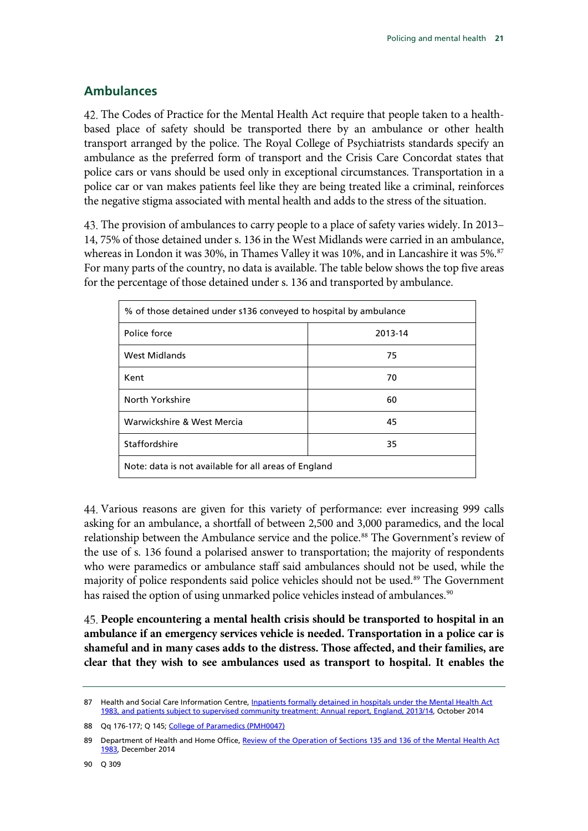### **Ambulances**

The Codes of Practice for the Mental Health Act require that people taken to a healthbased place of safety should be transported there by an ambulance or other health transport arranged by the police. The Royal College of Psychiatrists standards specify an ambulance as the preferred form of transport and the Crisis Care Concordat states that police cars or vans should be used only in exceptional circumstances. Transportation in a police car or van makes patients feel like they are being treated like a criminal, reinforces the negative stigma associated with mental health and adds to the stress of the situation.

The provision of ambulances to carry people to a place of safety varies widely. In 2013– 14, 75% of those detained under s. 136 in the West Midlands were carried in an ambulance, whereas in London it was 30%, in Thames Valley it was 10%, and in Lancashire it was 5%.<sup>[87](#page-18-0)</sup> For many parts of the country, no data is available. The table below shows the top five areas for the percentage of those detained under s. 136 and transported by ambulance.

| % of those detained under s136 conveyed to hospital by ambulance |         |  |  |  |
|------------------------------------------------------------------|---------|--|--|--|
| Police force                                                     | 2013-14 |  |  |  |
| West Midlands                                                    | 75      |  |  |  |
| Kent                                                             | 70      |  |  |  |
| North Yorkshire                                                  | 60      |  |  |  |
| Warwickshire & West Mercia                                       | 45      |  |  |  |
| Staffordshire<br>35                                              |         |  |  |  |
| Note: data is not available for all areas of England             |         |  |  |  |

Various reasons are given for this variety of performance: ever increasing 999 calls asking for an ambulance, a shortfall of between 2,500 and 3,000 paramedics, and the local relationship between the Ambulance service and the police.<sup>[88](#page-18-1)</sup> The Government's review of the use of s. 136 found a polarised answer to transportation; the majority of respondents who were paramedics or ambulance staff said ambulances should not be used, while the majority of police respondents said police vehicles should not be used.<sup>[89](#page-18-2)</sup> The Government has raised the option of using unmarked police vehicles instead of ambulances.<sup>90</sup>

<span id="page-18-4"></span>**People encountering a mental health crisis should be transported to hospital in an ambulance if an emergency services vehicle is needed. Transportation in a police car is shameful and in many cases adds to the distress. Those affected, and their families, are clear that they wish to see ambulances used as transport to hospital. It enables the** 

<span id="page-18-0"></span><sup>87</sup> Health and Social Care Information Centre, Inpatients formally detained in hospitals under the Mental Health Act [1983, and patients subject to supervised community treatment: Annual report, England, 2013/14,](http://www.hscic.gov.uk/5164) October 2014

<span id="page-18-1"></span><sup>88</sup> Qq 176-177; Q 145; [College of Paramedics \(PMH0047\)](http://data.parliament.uk/writtenevidence/committeeevidence.svc/evidencedocument/home-affairs-committee/policing-and-mental-health/written/11946.html)

<span id="page-18-3"></span><span id="page-18-2"></span><sup>89</sup> Department of Health and Home Office, Review of the Operation of Sections 135 and 136 of the Mental Health Act [1983,](https://www.gov.uk/government/uploads/system/uploads/attachment_data/file/389202/S135_and_S136_of_the_Mental_Health_Act_-_full_outcome.pdf) December 2014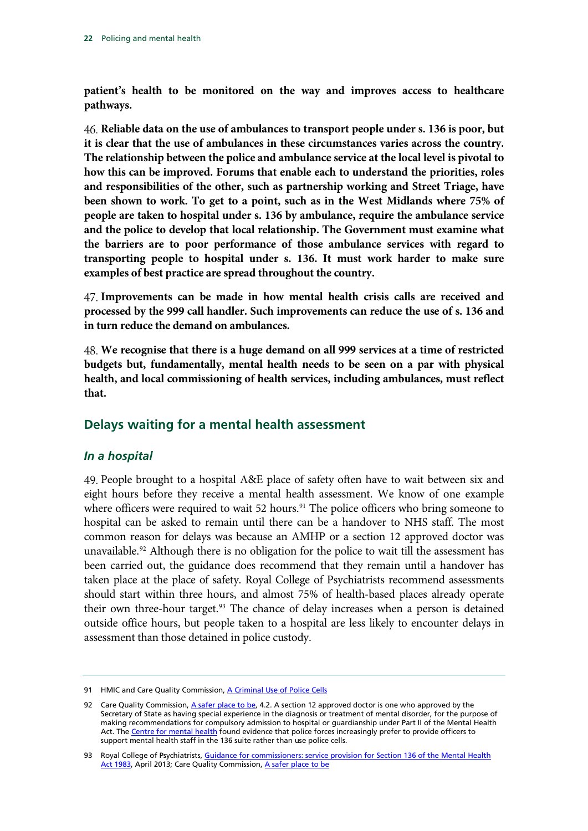**patient's health to be monitored on the way and improves access to healthcare pathways.**

<span id="page-19-3"></span>**Reliable data on the use of ambulances to transport people under s. 136 is poor, but it is clear that the use of ambulances in these circumstances varies across the country. The relationship between the police and ambulance service at the local level is pivotal to how this can be improved. Forums that enable each to understand the priorities, roles and responsibilities of the other, such as partnership working and Street Triage, have been shown to work. To get to a point, such as in the West Midlands where 75% of people are taken to hospital under s. 136 by ambulance, require the ambulance service and the police to develop that local relationship. The Government must examine what the barriers are to poor performance of those ambulance services with regard to transporting people to hospital under s. 136. It must work harder to make sure examples of best practice are spread throughout the country.**

<span id="page-19-4"></span>**Improvements can be made in how mental health crisis calls are received and processed by the 999 call handler. Such improvements can reduce the use of s. 136 and in turn reduce the demand on ambulances.** 

<span id="page-19-5"></span>**We recognise that there is a huge demand on all 999 services at a time of restricted budgets but, fundamentally, mental health needs to be seen on a par with physical health, and local commissioning of health services, including ambulances, must reflect that.**

#### **Delays waiting for a mental health assessment**

#### *In a hospital*

49. People brought to a hospital A&E place of safety often have to wait between six and eight hours before they receive a mental health assessment. We know of one example where officers were required to wait 52 hours.<sup>[91](#page-19-0)</sup> The police officers who bring someone to hospital can be asked to remain until there can be a handover to NHS staff. The most common reason for delays was because an AMHP or a section 12 approved doctor was unavailable.<sup>[92](#page-19-1)</sup> Although there is no obligation for the police to wait till the assessment has been carried out, the guidance does recommend that they remain until a handover has taken place at the place of safety. Royal College of Psychiatrists recommend assessments should start within three hours, and almost 75% of health-based places already operate their own three-hour target.<sup>[93](#page-19-2)</sup> The chance of delay increases when a person is detained outside office hours, but people taken to a hospital are less likely to encounter delays in assessment than those detained in police custody.

<span id="page-19-0"></span><sup>91</sup> HMIC and Care Quality Commission, [A Criminal Use of Police Cells](http://www.justiceinspectorates.gov.uk/hmic/media/a-criminal-use-of-police-cells-20130620.pdf)

<span id="page-19-1"></span><sup>92</sup> Care Quality Commission[, A safer place to be,](http://www.cqc.org.uk/sites/default/files/20141021%20CQC_SaferPlace_2014_07_FINAL%20for%20WEB.pdf) 4.2. A section 12 approved doctor is one who approved by the Secretary of State as having special experience in the diagnosis or treatment of mental disorder, for the purpose of making recommendations for compulsory admission to hospital or guardianship under Part II of the Mental Health Act. Th[e Centre for mental health](http://www.centreformentalhealth.org.uk/pdfs/Centre_for_MH_review_of_sections_135_136.pdf) found evidence that police forces increasingly prefer to provide officers to support mental health staff in the 136 suite rather than use police cells.

<span id="page-19-2"></span><sup>93</sup> Royal College of Psychiatrists, Guidance for commissioners: service provision for Section 136 of the Mental Health [Act 1983,](http://www.rcpsych.ac.uk/pdf/PS02_2013.pdf) April 2013; Care Quality Commission, [A safer place to be](http://www.cqc.org.uk/sites/default/files/20141021%20CQC_SaferPlace_2014_07_FINAL%20for%20WEB.pdf)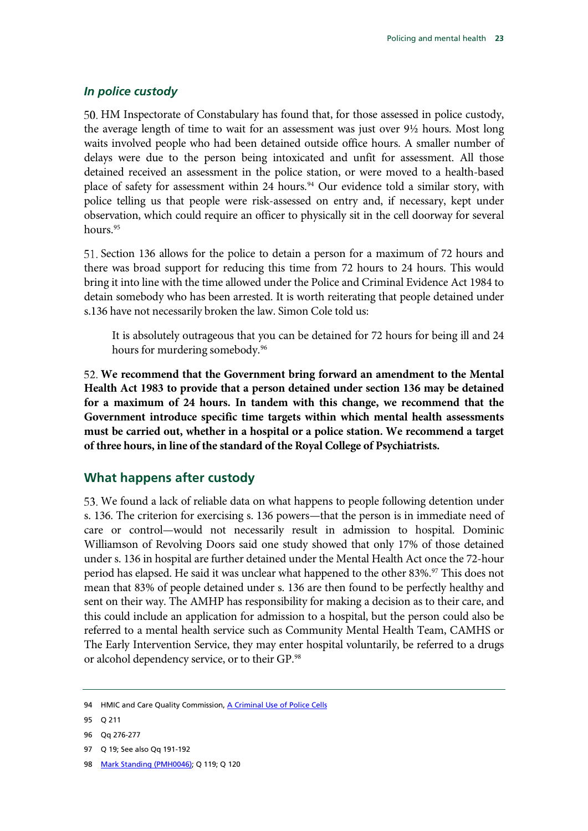#### *In police custody*

HM Inspectorate of Constabulary has found that, for those assessed in police custody, the average length of time to wait for an assessment was just over 9½ hours. Most long waits involved people who had been detained outside office hours. A smaller number of delays were due to the person being intoxicated and unfit for assessment. All those detained received an assessment in the police station, or were moved to a health-based place of safety for assessment within 24 hours.<sup>94</sup> Our evidence told a similar story, with police telling us that people were risk-assessed on entry and, if necessary, kept under observation, which could require an officer to physically sit in the cell doorway for several hours.<sup>[95](#page-20-1)</sup>

Section 136 allows for the police to detain a person for a maximum of 72 hours and there was broad support for reducing this time from 72 hours to 24 hours. This would bring it into line with the time allowed under the Police and Criminal Evidence Act 1984 to detain somebody who has been arrested. It is worth reiterating that people detained under s.136 have not necessarily broken the law. Simon Cole told us:

It is absolutely outrageous that you can be detained for 72 hours for being ill and 24 hours for murdering somebody.<sup>[96](#page-20-2)</sup>

<span id="page-20-5"></span>**We recommend that the Government bring forward an amendment to the Mental Health Act 1983 to provide that a person detained under section 136 may be detained for a maximum of 24 hours. In tandem with this change, we recommend that the Government introduce specific time targets within which mental health assessments must be carried out, whether in a hospital or a police station. We recommend a target of three hours, in line of the standard of the Royal College of Psychiatrists.**

#### **What happens after custody**

53. We found a lack of reliable data on what happens to people following detention under s. 136. The criterion for exercising s. 136 powers—that the person is in immediate need of care or control—would not necessarily result in admission to hospital. Dominic Williamson of Revolving Doors said one study showed that only 17% of those detained under s. 136 in hospital are further detained under the Mental Health Act once the 72-hour period has elapsed. He said it was unclear what happened to the other 83%.<sup>97</sup> This does not mean that 83% of people detained under s. 136 are then found to be perfectly healthy and sent on their way. The AMHP has responsibility for making a decision as to their care, and this could include an application for admission to a hospital, but the person could also be referred to a mental health service such as Community Mental Health Team, CAMHS or The Early Intervention Service, they may enter hospital voluntarily, be referred to a drugs or alcohol dependency service, or to their GP[.98](#page-20-4)

<span id="page-20-0"></span><sup>94</sup> HMIC and Care Quality Commission, [A Criminal Use of Police Cells](http://www.justiceinspectorates.gov.uk/hmic/media/a-criminal-use-of-police-cells-20130620.pdf)

<span id="page-20-1"></span><sup>95</sup> Q 211

<span id="page-20-2"></span><sup>96</sup> Qq 276-277

<span id="page-20-3"></span><sup>97</sup> Q 19; See also Qq 191-192

<span id="page-20-4"></span><sup>98</sup> [Mark Standing \(PMH0046\);](http://data.parliament.uk/writtenevidence/committeeevidence.svc/evidencedocument/home-affairs-committee/policing-and-mental-health/written/11303.html) Q 119; Q 120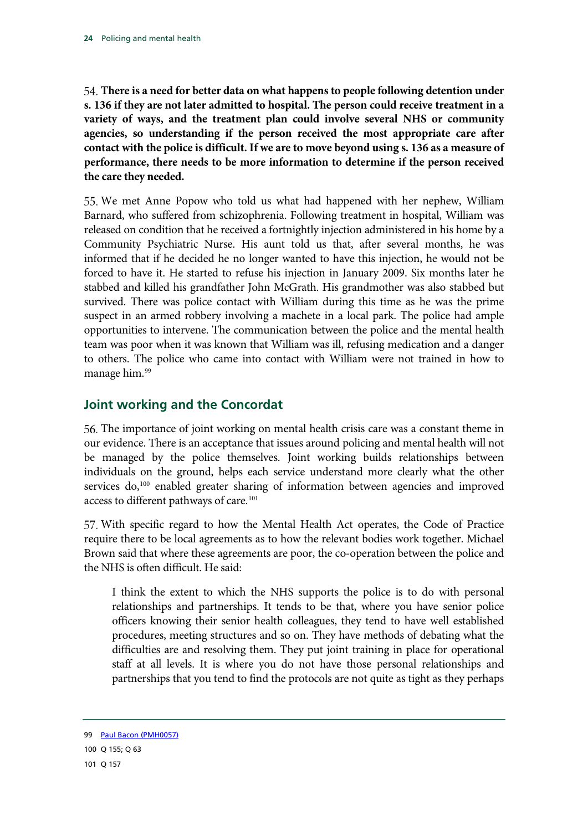<span id="page-21-3"></span>**There is a need for better data on what happens to people following detention under s. 136 if they are not later admitted to hospital. The person could receive treatment in a variety of ways, and the treatment plan could involve several NHS or community agencies, so understanding if the person received the most appropriate care after contact with the police is difficult. If we are to move beyond using s. 136 as a measure of performance, there needs to be more information to determine if the person received the care they needed.**

55. We met Anne Popow who told us what had happened with her nephew, William Barnard, who suffered from schizophrenia. Following treatment in hospital, William was released on condition that he received a fortnightly injection administered in his home by a Community Psychiatric Nurse. His aunt told us that, after several months, he was informed that if he decided he no longer wanted to have this injection, he would not be forced to have it. He started to refuse his injection in January 2009. Six months later he stabbed and killed his grandfather John McGrath. His grandmother was also stabbed but survived. There was police contact with William during this time as he was the prime suspect in an armed robbery involving a machete in a local park. The police had ample opportunities to intervene. The communication between the police and the mental health team was poor when it was known that William was ill, refusing medication and a danger to others. The police who came into contact with William were not trained in how to manage him.<sup>[99](#page-21-0)</sup>

### **Joint working and the Concordat**

56. The importance of joint working on mental health crisis care was a constant theme in our evidence. There is an acceptance that issues around policing and mental health will not be managed by the police themselves. Joint working builds relationships between individuals on the ground, helps each service understand more clearly what the other services do, [100](#page-21-1) enabled greater sharing of information between agencies and improved access to different pathways of care.<sup>[101](#page-21-2)</sup>

57. With specific regard to how the Mental Health Act operates, the Code of Practice require there to be local agreements as to how the relevant bodies work together. Michael Brown said that where these agreements are poor, the co-operation between the police and the NHS is often difficult. He said:

<span id="page-21-2"></span><span id="page-21-1"></span><span id="page-21-0"></span>I think the extent to which the NHS supports the police is to do with personal relationships and partnerships. It tends to be that, where you have senior police officers knowing their senior health colleagues, they tend to have well established procedures, meeting structures and so on. They have methods of debating what the difficulties are and resolving them. They put joint training in place for operational staff at all levels. It is where you do not have those personal relationships and partnerships that you tend to find the protocols are not quite as tight as they perhaps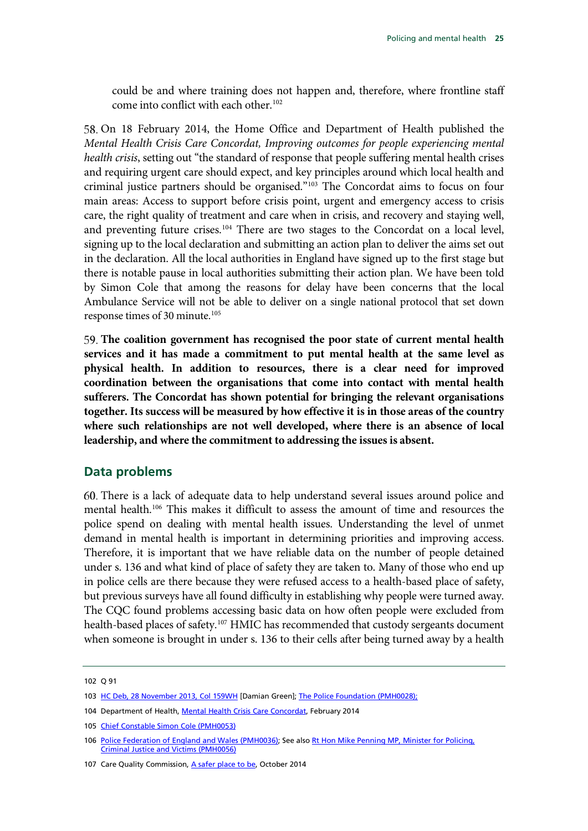could be and where training does not happen and, therefore, where frontline staff come into conflict with each other.<sup>[102](#page-22-0)</sup>

On 18 February 2014, the Home Office and Department of Health published the *Mental Health Crisis Care Concordat, Improving outcomes for people experiencing mental health crisis*, setting out "the standard of response that people suffering mental health crises and requiring urgent care should expect, and key principles around which local health and criminal justice partners should be organised."[103](#page-22-1) The Concordat aims to focus on four main areas: Access to support before crisis point, urgent and emergency access to crisis care, the right quality of treatment and care when in crisis, and recovery and staying well, and preventing future crises. [104](#page-22-2) There are two stages to the Concordat on a local level, signing up to the local declaration and submitting an action plan to deliver the aims set out in the declaration. All the local authorities in England have signed up to the first stage but there is notable pause in local authorities submitting their action plan. We have been told by Simon Cole that among the reasons for delay have been concerns that the local Ambulance Service will not be able to deliver on a single national protocol that set down response times of 30 minute. [105](#page-22-3)

<span id="page-22-6"></span>**The coalition government has recognised the poor state of current mental health services and it has made a commitment to put mental health at the same level as physical health. In addition to resources, there is a clear need for improved coordination between the organisations that come into contact with mental health sufferers. The Concordat has shown potential for bringing the relevant organisations together. Its success will be measured by how effective it is in those areas of the country where such relationships are not well developed, where there is an absence of local leadership, and where the commitment to addressing the issues is absent.**

#### **Data problems**

There is a lack of adequate data to help understand several issues around police and mental health.[106](#page-22-4) This makes it difficult to assess the amount of time and resources the police spend on dealing with mental health issues. Understanding the level of unmet demand in mental health is important in determining priorities and improving access. Therefore, it is important that we have reliable data on the number of people detained under s. 136 and what kind of place of safety they are taken to. Many of those who end up in police cells are there because they were refused access to a health-based place of safety, but previous surveys have all found difficulty in establishing why people were turned away. The CQC found problems accessing basic data on how often people were excluded from health-based places of safety.<sup>[107](#page-22-5)</sup> HMIC has recommended that custody sergeants document when someone is brought in under s. 136 to their cells after being turned away by a health

<span id="page-22-0"></span><sup>102</sup> Q 91

<span id="page-22-1"></span><sup>103</sup> [HC Deb, 28 November 2013, Col 159WH](http://www.publications.parliament.uk/pa/cm201314/cmhansrd/cm131128/halltext/131128h0001.htm%2313112857000001) [Damian Green][; The Police Foundation \(PMH0028\);](http://data.parliament.uk/writtenevidence/committeeevidence.svc/evidencedocument/home-affairs-committee/policing-and-mental-health/written/9185.html)

<span id="page-22-2"></span><sup>104</sup> Department of Health[, Mental Health Crisis Care Concordat,](https://www.gov.uk/government/uploads/system/uploads/attachment_data/file/281242/36353_Mental_Health_Crisis_accessible.pdf) February 2014

<span id="page-22-3"></span><sup>105</sup> [Chief Constable Simon Cole \(PMH0053\)](http://data.parliament.uk/writtenevidence/committeeevidence.svc/evidencedocument/home-affairs-committee/policing-and-mental-health/written/15206.html)

<span id="page-22-4"></span><sup>106</sup> [Police Federation of England and Wales \(PMH0036\);](http://data.parliament.uk/writtenevidence/committeeevidence.svc/evidencedocument/home-affairs-committee/policing-and-mental-health/written/9343.html) See also Rt Hon Mike Penning MP, Minister for Policing, [Criminal Justice and Victims \(PMH0056\)](http://data.parliament.uk/writtenevidence/committeeevidence.svc/evidencedocument/home-affairs-committee/policing-and-mental-health/written/15700.html)

<span id="page-22-5"></span><sup>107</sup> Care Quality Commission[, A safer place to be,](http://www.cqc.org.uk/sites/default/files/20141021%20CQC_SaferPlace_2014_07_FINAL%20for%20WEB.pdf) October 2014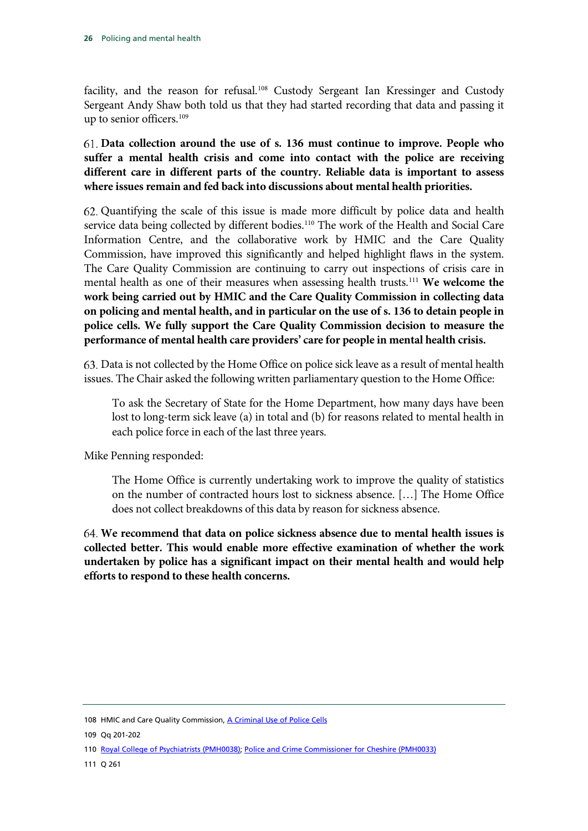facility, and the reason for refusal.<sup>[108](#page-23-0)</sup> Custody Sergeant Ian Kressinger and Custody Sergeant Andy Shaw both told us that they had started recording that data and passing it up to senior officers.[109](#page-23-1)

#### <span id="page-23-4"></span>**Data collection around the use of s. 136 must continue to improve. People who suffer a mental health crisis and come into contact with the police are receiving different care in different parts of the country. Reliable data is important to assess where issues remain and fed back into discussions about mental health priorities.**

Quantifying the scale of this issue is made more difficult by police data and health service data being collected by different bodies.<sup>110</sup> The work of the Health and Social Care Information Centre, and the collaborative work by HMIC and the Care Quality Commission, have improved this significantly and helped highlight flaws in the system. The Care Quality Commission are continuing to carry out inspections of crisis care in mental health as one of their measures when assessing health trusts.<sup>[111](#page-23-3)</sup> We welcome the **work being carried out by HMIC and the Care Quality Commission in collecting data on policing and mental health, and in particular on the use of s. 136 to detain people in police cells. We fully support the Care Quality Commission decision to measure the performance of mental health care providers' care for people in mental health crisis.**

Data is not collected by the Home Office on police sick leave as a result of mental health issues. The Chair asked the following written parliamentary question to the Home Office:

<span id="page-23-5"></span>To ask the Secretary of State for the Home Department, how many days have been lost to long-term sick leave (a) in total and (b) for reasons related to mental health in each police force in each of the last three years.

Mike Penning responded:

The Home Office is currently undertaking work to improve the quality of statistics on the number of contracted hours lost to sickness absence. […] The Home Office does not collect breakdowns of this data by reason for sickness absence.

<span id="page-23-6"></span>**We recommend that data on police sickness absence due to mental health issues is collected better. This would enable more effective examination of whether the work undertaken by police has a significant impact on their mental health and would help efforts to respond to these health concerns.** 

<span id="page-23-0"></span><sup>108</sup> HMIC and Care Quality Commission, [A Criminal Use of Police Cells](http://www.justiceinspectorates.gov.uk/hmic/media/a-criminal-use-of-police-cells-20130620.pdf)

<span id="page-23-1"></span><sup>109</sup> Qq 201-202

<span id="page-23-2"></span><sup>110</sup> [Royal College of Psychiatrists \(PMH0038\);](http://data.parliament.uk/writtenevidence/committeeevidence.svc/evidencedocument/home-affairs-committee/policing-and-mental-health/written/9482.html) [Police and Crime Commissioner for Cheshire \(PMH0033\)](http://data.parliament.uk/writtenevidence/committeeevidence.svc/evidencedocument/home-affairs-committee/policing-and-mental-health/written/9209.html)

<span id="page-23-3"></span><sup>111</sup> Q 261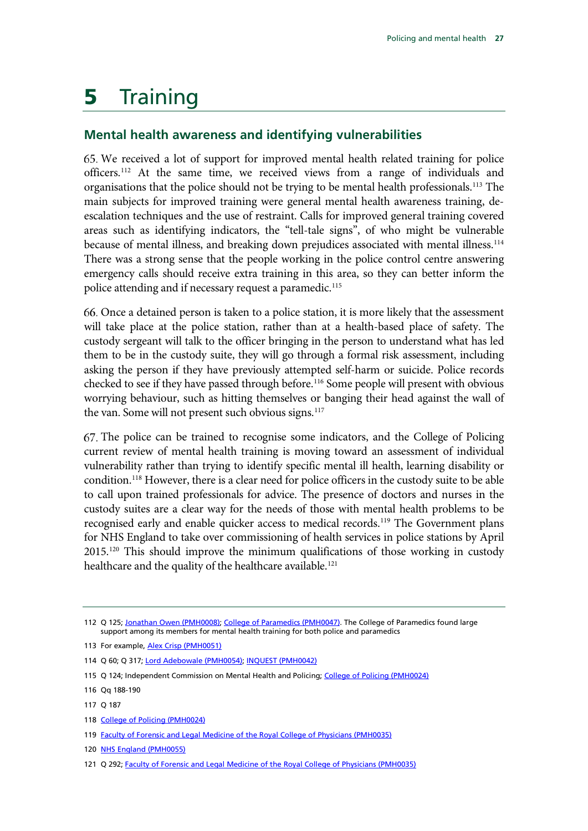# **5** Training

#### **Mental health awareness and identifying vulnerabilities**

We received a lot of support for improved mental health related training for police officers[.112](#page-24-0) At the same time, we received views from a range of individuals and organisations that the police should not be trying to be mental health professionals.[113](#page-24-1) The main subjects for improved training were general mental health awareness training, deescalation techniques and the use of restraint. Calls for improved general training covered areas such as identifying indicators, the "tell-tale signs", of who might be vulnerable because of mental illness, and breaking down prejudices associated with mental illness.<sup>114</sup> There was a strong sense that the people working in the police control centre answering emergency calls should receive extra training in this area, so they can better inform the police attending and if necessary request a paramedic.[115](#page-24-3)

Once a detained person is taken to a police station, it is more likely that the assessment will take place at the police station, rather than at a health-based place of safety. The custody sergeant will talk to the officer bringing in the person to understand what has led them to be in the custody suite, they will go through a formal risk assessment, including asking the person if they have previously attempted self-harm or suicide. Police records checked to see if they have passed through before.[116](#page-24-4) Some people will present with obvious worrying behaviour, such as hitting themselves or banging their head against the wall of the van. Some will not present such obvious signs. [117](#page-24-5)

The police can be trained to recognise some indicators, and the College of Policing current review of mental health training is moving toward an assessment of individual vulnerability rather than trying to identify specific mental ill health, learning disability or condition.[118](#page-24-6) However, there is a clear need for police officers in the custody suite to be able to call upon trained professionals for advice. The presence of doctors and nurses in the custody suites are a clear way for the needs of those with mental health problems to be recognised early and enable quicker access to medical records.<sup>119</sup> The Government plans for NHS England to take over commissioning of health services in police stations by April 2015.[120](#page-24-8) This should improve the minimum qualifications of those working in custody healthcare and the quality of the healthcare available. [121](#page-24-9)

<span id="page-24-0"></span><sup>112</sup> Q 125[; Jonathan Owen \(PMH0008\);](http://data.parliament.uk/writtenevidence/committeeevidence.svc/evidencedocument/home-affairs-committee/policing-and-mental-health/written/9081.html) [College of Paramedics \(PMH0047\).](http://data.parliament.uk/writtenevidence/committeeevidence.svc/evidencedocument/home-affairs-committee/policing-and-mental-health/written/11946.html) The College of Paramedics found large support among its members for mental health training for both police and paramedics

<span id="page-24-1"></span><sup>113</sup> For example[, Alex Crisp \(PMH0051\)](http://data.parliament.uk/writtenevidence/committeeevidence.svc/evidencedocument/home-affairs-committee/policing-and-mental-health/written/13417.html)

<span id="page-24-2"></span><sup>114</sup> Q 60; Q 317; [Lord Adebowale \(PMH0054\);](http://data.parliament.uk/writtenevidence/committeeevidence.svc/evidencedocument/home-affairs-committee/policing-and-mental-health/written/15208.html) [INQUEST \(PMH0042\)](http://data.parliament.uk/writtenevidence/committeeevidence.svc/evidencedocument/home-affairs-committee/policing-and-mental-health/written/9810.html)

<span id="page-24-3"></span><sup>115</sup> Q 124; Independent Commission on Mental Health and Policing[; College of Policing \(PMH0024\)](http://data.parliament.uk/writtenevidence/committeeevidence.svc/evidencedocument/home-affairs-committee/policing-and-mental-health/written/9178.html)

<span id="page-24-4"></span><sup>116</sup> Qq 188-190

<span id="page-24-5"></span><sup>117</sup> Q 187

<span id="page-24-6"></span><sup>118</sup> [College of Policing \(PMH0024\)](http://data.parliament.uk/writtenevidence/committeeevidence.svc/evidencedocument/home-affairs-committee/policing-and-mental-health/written/9178.html)

<span id="page-24-7"></span><sup>119</sup> [Faculty of Forensic and Legal Medicine of the Royal College of Physicians \(PMH0035\)](http://data.parliament.uk/writtenevidence/committeeevidence.svc/evidencedocument/home-affairs-committee/policing-and-mental-health/written/9269.html)

<span id="page-24-8"></span><sup>120</sup> [NHS England \(PMH0055\)](http://data.parliament.uk/writtenevidence/committeeevidence.svc/evidencedocument/home-affairs-committee/policing-and-mental-health/written/15572.html)

<span id="page-24-9"></span><sup>121</sup> Q 292[; Faculty of Forensic and Legal Medicine of the Royal College of Physicians \(PMH0035\)](http://data.parliament.uk/writtenevidence/committeeevidence.svc/evidencedocument/home-affairs-committee/policing-and-mental-health/written/9269.html)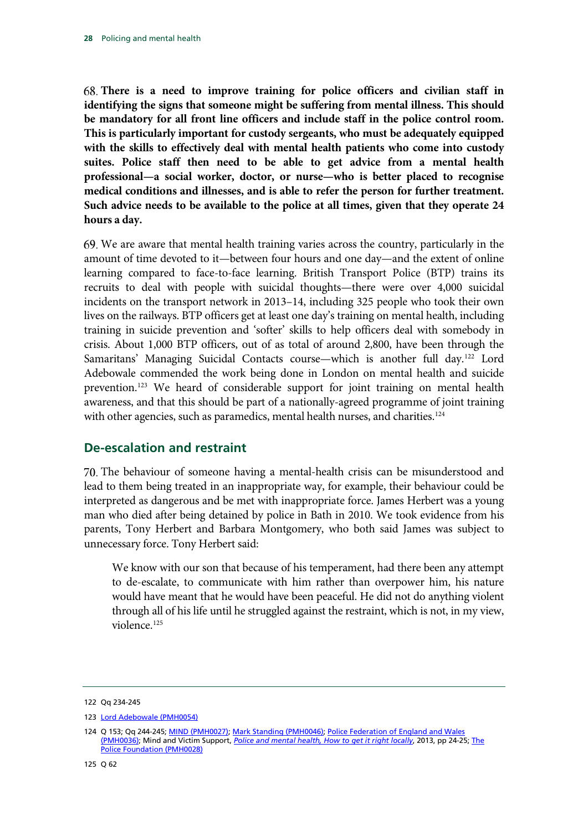<span id="page-25-4"></span>**There is a need to improve training for police officers and civilian staff in identifying the signs that someone might be suffering from mental illness. This should be mandatory for all front line officers and include staff in the police control room. This is particularly important for custody sergeants, who must be adequately equipped with the skills to effectively deal with mental health patients who come into custody suites. Police staff then need to be able to get advice from a mental health professional—a social worker, doctor, or nurse—who is better placed to recognise medical conditions and illnesses, and is able to refer the person for further treatment. Such advice needs to be available to the police at all times, given that they operate 24 hours a day.**

We are aware that mental health training varies across the country, particularly in the amount of time devoted to it—between four hours and one day—and the extent of online learning compared to face-to-face learning. British Transport Police (BTP) trains its recruits to deal with people with suicidal thoughts—there were over 4,000 suicidal incidents on the transport network in 2013–14, including 325 people who took their own lives on the railways. BTP officers get at least one day's training on mental health, including training in suicide prevention and 'softer' skills to help officers deal with somebody in crisis. About 1,000 BTP officers, out of as total of around 2,800, have been through the Samaritans' Managing Suicidal Contacts course—which is another full day.<sup>[122](#page-25-0)</sup> Lord Adebowale commended the work being done in London on mental health and suicide prevention[.123](#page-25-1) We heard of considerable support for joint training on mental health awareness, and that this should be part of a nationally-agreed programme of joint training with other agencies, such as paramedics, mental health nurses, and charities.<sup>[124](#page-25-2)</sup>

### **De-escalation and restraint**

The behaviour of someone having a mental-health crisis can be misunderstood and lead to them being treated in an inappropriate way, for example, their behaviour could be interpreted as dangerous and be met with inappropriate force. James Herbert was a young man who died after being detained by police in Bath in 2010. We took evidence from his parents, Tony Herbert and Barbara Montgomery, who both said James was subject to unnecessary force. Tony Herbert said:

We know with our son that because of his temperament, had there been any attempt to de-escalate, to communicate with him rather than overpower him, his nature would have meant that he would have been peaceful. He did not do anything violent through all of his life until he struggled against the restraint, which is not, in my view, violence.<sup>[125](#page-25-3)</sup>

<span id="page-25-0"></span><sup>122</sup> Qq 234-245

<span id="page-25-1"></span><sup>123</sup> [Lord Adebowale \(PMH0054\)](http://data.parliament.uk/writtenevidence/committeeevidence.svc/evidencedocument/home-affairs-committee/policing-and-mental-health/written/15208.html)

<span id="page-25-3"></span><span id="page-25-2"></span><sup>124</sup> Q 153; Qq 244-245; [MIND \(PMH0027\);](http://data.parliament.uk/writtenevidence/committeeevidence.svc/evidencedocument/home-affairs-committee/policing-and-mental-health/written/9184.html) [Mark Standing \(PMH0046\);](http://data.parliament.uk/writtenevidence/committeeevidence.svc/evidencedocument/home-affairs-committee/policing-and-mental-health/written/11303.html) [Police Federation of England and Wales](http://data.parliament.uk/writtenevidence/committeeevidence.svc/evidencedocument/home-affairs-committee/policing-and-mental-health/written/9343.html)  [\(PMH0036\);](http://data.parliament.uk/writtenevidence/committeeevidence.svc/evidencedocument/home-affairs-committee/policing-and-mental-health/written/9343.html) Mind and Victim Support, *[Police and mental health, How to get it right locally](http://www.mind.org.uk/media/618027/2013-12-03-Mind_police_final_web.pdf)*, 2013, pp 24-25; [The](http://data.parliament.uk/writtenevidence/committeeevidence.svc/evidencedocument/home-affairs-committee/policing-and-mental-health/written/9185.html)  [Police Foundation \(PMH0028\)](http://data.parliament.uk/writtenevidence/committeeevidence.svc/evidencedocument/home-affairs-committee/policing-and-mental-health/written/9185.html)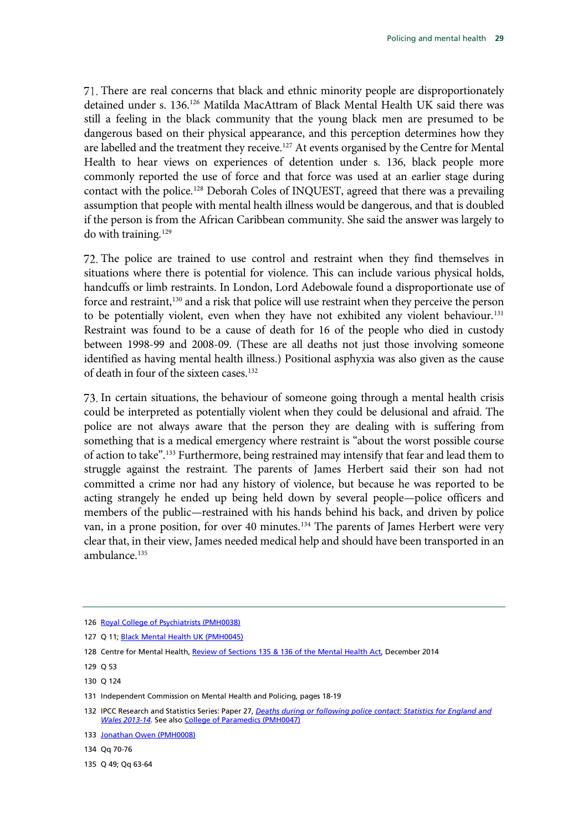There are real concerns that black and ethnic minority people are disproportionately detained under s. 136.[126](#page-26-0) Matilda MacAttram of Black Mental Health UK said there was still a feeling in the black community that the young black men are presumed to be dangerous based on their physical appearance, and this perception determines how they are labelled and the treatment they receive.<sup>[127](#page-26-1)</sup> At events organised by the Centre for Mental Health to hear views on experiences of detention under s. 136, black people more commonly reported the use of force and that force was used at an earlier stage during contact with the police.<sup>[128](#page-26-2)</sup> Deborah Coles of INQUEST, agreed that there was a prevailing assumption that people with mental health illness would be dangerous, and that is doubled if the person is from the African Caribbean community. She said the answer was largely to do with training. [129](#page-26-3)

The police are trained to use control and restraint when they find themselves in situations where there is potential for violence. This can include various physical holds, handcuffs or limb restraints. In London, Lord Adebowale found a disproportionate use of force and restraint,<sup>130</sup> and a risk that police will use restraint when they perceive the person to be potentially violent, even when they have not exhibited any violent behaviour.<sup>[131](#page-26-5)</sup> Restraint was found to be a cause of death for 16 of the people who died in custody between 1998-99 and 2008-09. (These are all deaths not just those involving someone identified as having mental health illness.) Positional asphyxia was also given as the cause of death in four of the sixteen cases.[132](#page-26-6)

In certain situations, the behaviour of someone going through a mental health crisis could be interpreted as potentially violent when they could be delusional and afraid. The police are not always aware that the person they are dealing with is suffering from something that is a medical emergency where restraint is "about the worst possible course of action to take". [133](#page-26-7) Furthermore, being restrained may intensify that fear and lead them to struggle against the restraint. The parents of James Herbert said their son had not committed a crime nor had any history of violence, but because he was reported to be acting strangely he ended up being held down by several people—police officers and members of the public—restrained with his hands behind his back, and driven by police van, in a prone position, for over 40 minutes.<sup>[134](#page-26-8)</sup> The parents of James Herbert were very clear that, in their view, James needed medical help and should have been transported in an ambulance[.135](#page-26-9)

<span id="page-26-8"></span>134 Qq 70-76

<span id="page-26-9"></span>135 Q 49; Qq 63-64

<span id="page-26-0"></span><sup>126</sup> [Royal College of Psychiatrists \(PMH0038\)](http://data.parliament.uk/writtenevidence/committeeevidence.svc/evidencedocument/home-affairs-committee/policing-and-mental-health/written/9482.html)

<span id="page-26-1"></span><sup>127</sup> Q 11; [Black Mental Health UK \(PMH0045\)](http://data.parliament.uk/writtenevidence/committeeevidence.svc/evidencedocument/home-affairs-committee/policing-and-mental-health/written/11084.html)

<span id="page-26-2"></span><sup>128</sup> Centre for Mental Health[, Review of Sections 135 & 136 of the Mental Health Act,](http://www.centreformentalhealth.org.uk/pdfs/Centre_for_MH_review_of_sections_135_136.pdf) December 2014

<span id="page-26-3"></span><sup>129</sup> Q 53

<span id="page-26-4"></span><sup>130</sup> Q 124

<span id="page-26-5"></span><sup>131</sup> Independent Commission on Mental Health and Policing, pages 18-19

<span id="page-26-6"></span><sup>132</sup> IPCC Research and Statistics Series: Paper 27, *[Deaths during or following police contact: Statistics for England and](https://www.ipcc.gov.uk/sites/default/files/Documents/research_stats/Deaths_Report_1314.pdf)  [Wales 2013-14.](https://www.ipcc.gov.uk/sites/default/files/Documents/research_stats/Deaths_Report_1314.pdf)* See als[o College of Paramedics \(PMH0047\)](http://data.parliament.uk/writtenevidence/committeeevidence.svc/evidencedocument/home-affairs-committee/policing-and-mental-health/written/11946.html)

<span id="page-26-7"></span><sup>133</sup> [Jonathan Owen \(PMH0008\)](http://data.parliament.uk/writtenevidence/committeeevidence.svc/evidencedocument/home-affairs-committee/policing-and-mental-health/written/9081.html)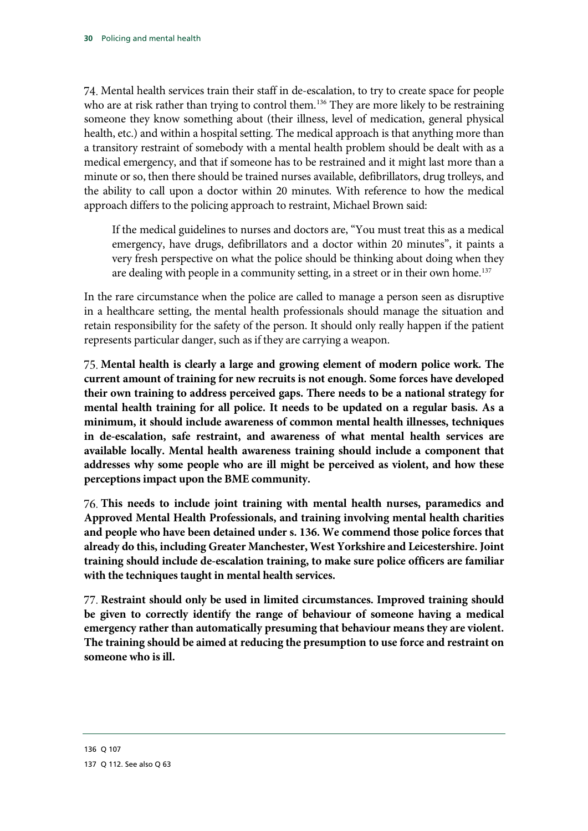Mental health services train their staff in de-escalation, to try to create space for people who are at risk rather than trying to control them.<sup>[136](#page-27-0)</sup> They are more likely to be restraining someone they know something about (their illness, level of medication, general physical health, etc.) and within a hospital setting. The medical approach is that anything more than a transitory restraint of somebody with a mental health problem should be dealt with as a medical emergency, and that if someone has to be restrained and it might last more than a minute or so, then there should be trained nurses available, defibrillators, drug trolleys, and the ability to call upon a doctor within 20 minutes. With reference to how the medical approach differs to the policing approach to restraint, Michael Brown said:

<span id="page-27-2"></span>If the medical guidelines to nurses and doctors are, "You must treat this as a medical emergency, have drugs, defibrillators and a doctor within 20 minutes", it paints a very fresh perspective on what the police should be thinking about doing when they are dealing with people in a community setting, in a street or in their own home.<sup>[137](#page-27-1)</sup>

In the rare circumstance when the police are called to manage a person seen as disruptive in a healthcare setting, the mental health professionals should manage the situation and retain responsibility for the safety of the person. It should only really happen if the patient represents particular danger, such as if they are carrying a weapon.

**Mental health is clearly a large and growing element of modern police work. The current amount of training for new recruits is not enough. Some forces have developed their own training to address perceived gaps. There needs to be a national strategy for mental health training for all police. It needs to be updated on a regular basis. As a minimum, it should include awareness of common mental health illnesses, techniques in de-escalation, safe restraint, and awareness of what mental health services are available locally. Mental health awareness training should include a component that addresses why some people who are ill might be perceived as violent, and how these perceptions impact upon the BME community.**

<span id="page-27-3"></span>**This needs to include joint training with mental health nurses, paramedics and Approved Mental Health Professionals, and training involving mental health charities and people who have been detained under s. 136. We commend those police forces that already do this, including Greater Manchester, West Yorkshire and Leicestershire. Joint training should include de-escalation training, to make sure police officers are familiar with the techniques taught in mental health services.**

<span id="page-27-4"></span><span id="page-27-1"></span><span id="page-27-0"></span>**Restraint should only be used in limited circumstances. Improved training should be given to correctly identify the range of behaviour of someone having a medical emergency rather than automatically presuming that behaviour means they are violent. The training should be aimed at reducing the presumption to use force and restraint on someone who is ill.**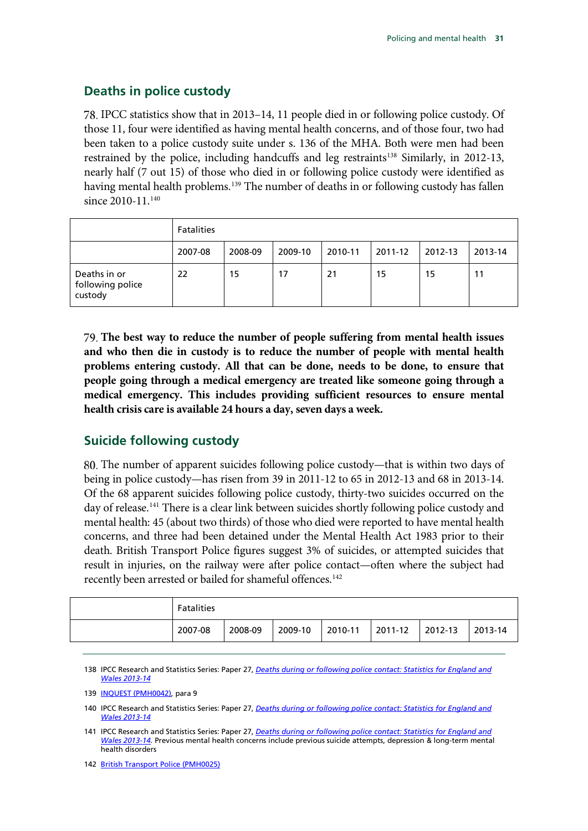### **Deaths in police custody**

IPCC statistics show that in 2013–14, 11 people died in or following police custody. Of those 11, four were identified as having mental health concerns, and of those four, two had been taken to a police custody suite under s. 136 of the MHA. Both were men had been restrained by the police, including handcuffs and leg restraints<sup>[138](#page-28-0)</sup> Similarly, in 2012-13, nearly half (7 out 15) of those who died in or following police custody were identified as having mental health problems.<sup>[139](#page-28-1)</sup> The number of deaths in or following custody has fallen since 2010-11.<sup>[140](#page-28-2)</sup>

|                                             | <b>Fatalities</b> |         |         |         |         |         |         |
|---------------------------------------------|-------------------|---------|---------|---------|---------|---------|---------|
|                                             | 2007-08           | 2008-09 | 2009-10 | 2010-11 | 2011-12 | 2012-13 | 2013-14 |
| Deaths in or<br>following police<br>custody | 22                | 15      | 17      | 21      | 15      | 15      | 11      |

<span id="page-28-5"></span>**The best way to reduce the number of people suffering from mental health issues and who then die in custody is to reduce the number of people with mental health problems entering custody. All that can be done, needs to be done, to ensure that people going through a medical emergency are treated like someone going through a medical emergency. This includes providing sufficient resources to ensure mental health crisis care is available 24 hours a day, seven days a week.** 

### **Suicide following custody**

The number of apparent suicides following police custody—that is within two days of being in police custody—has risen from 39 in 2011-12 to 65 in 2012-13 and 68 in 2013-14. Of the 68 apparent suicides following police custody, thirty-two suicides occurred on the day of release.<sup>141</sup> There is a clear link between suicides shortly following police custody and mental health: 45 (about two thirds) of those who died were reported to have mental health concerns, and three had been detained under the Mental Health Act 1983 prior to their death. British Transport Police figures suggest 3% of suicides, or attempted suicides that result in injuries, on the railway were after police contact—often where the subject had recently been arrested or bailed for shameful offences.<sup>[142](#page-28-4)</sup>

| <b>Fatalities</b> |         |         |         |         |         |         |
|-------------------|---------|---------|---------|---------|---------|---------|
| 2007-08           | 2008-09 | 2009-10 | 2010-11 | 2011-12 | 2012-13 | 2013-14 |

<span id="page-28-0"></span><sup>138</sup> IPCC Research and Statistics Series: Paper 27, *[Deaths during or following police contact: Statistics for England and](https://www.ipcc.gov.uk/sites/default/files/Documents/research_stats/Deaths_Report_1314.pdf)  [Wales 2013-14](https://www.ipcc.gov.uk/sites/default/files/Documents/research_stats/Deaths_Report_1314.pdf)*

<span id="page-28-1"></span><sup>139</sup> [INQUEST \(PMH0042\),](http://data.parliament.uk/writtenevidence/committeeevidence.svc/evidencedocument/home-affairs-committee/policing-and-mental-health/written/9810.html) para 9

<span id="page-28-2"></span><sup>140</sup> IPCC Research and Statistics Series: Paper 27, *[Deaths during or following police contact: Statistics for England and](https://www.ipcc.gov.uk/sites/default/files/Documents/research_stats/Deaths_Report_1314.pdf)  [Wales 2013-14](https://www.ipcc.gov.uk/sites/default/files/Documents/research_stats/Deaths_Report_1314.pdf)*

<span id="page-28-3"></span><sup>141</sup> IPCC Research and Statistics Series: Paper 27, *Deaths [during or following police contact: Statistics for England and](https://www.ipcc.gov.uk/sites/default/files/Documents/research_stats/Deaths_Report_1314.pdf)  [Wales 2013-14.](https://www.ipcc.gov.uk/sites/default/files/Documents/research_stats/Deaths_Report_1314.pdf)* Previous mental health concerns include previous suicide attempts, depression & long-term mental health disorders

<span id="page-28-4"></span><sup>142</sup> [British Transport Police \(PMH0025\)](http://data.parliament.uk/writtenevidence/committeeevidence.svc/evidencedocument/home-affairs-committee/policing-and-mental-health/written/9179.html)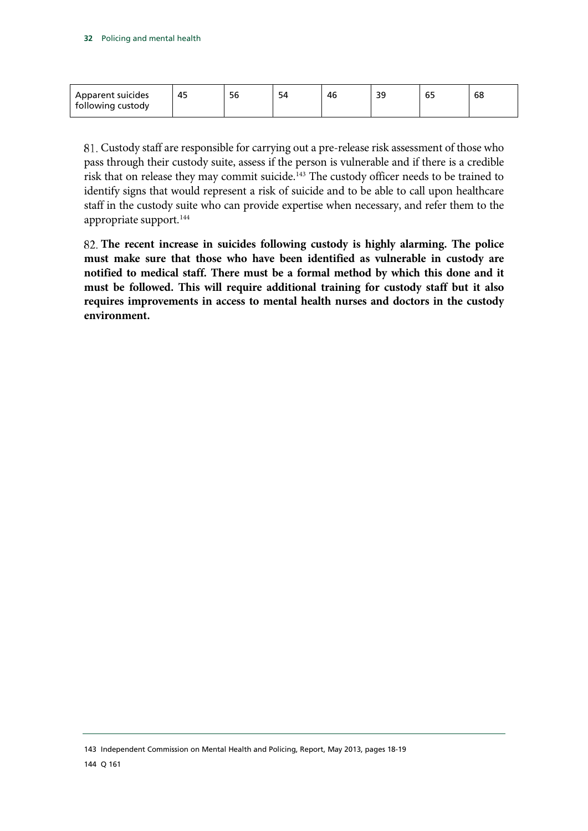| Apparent suicides<br>following custody | 45 | 56 | 54 | -46 | ה כי<br>ر ر | --<br>כס | 68 |
|----------------------------------------|----|----|----|-----|-------------|----------|----|
|                                        |    |    |    |     |             |          |    |

Custody staff are responsible for carrying out a pre-release risk assessment of those who pass through their custody suite, assess if the person is vulnerable and if there is a credible risk that on release they may commit suicide.[143](#page-29-0) The custody officer needs to be trained to identify signs that would represent a risk of suicide and to be able to call upon healthcare staff in the custody suite who can provide expertise when necessary, and refer them to the appropriate support.<sup>[144](#page-29-1)</sup>

<span id="page-29-2"></span>**The recent increase in suicides following custody is highly alarming. The police must make sure that those who have been identified as vulnerable in custody are notified to medical staff. There must be a formal method by which this done and it must be followed. This will require additional training for custody staff but it also requires improvements in access to mental health nurses and doctors in the custody environment.**

<span id="page-29-1"></span><span id="page-29-0"></span>143 Independent Commission on Mental Health and Policing, Report, May 2013, pages 18-19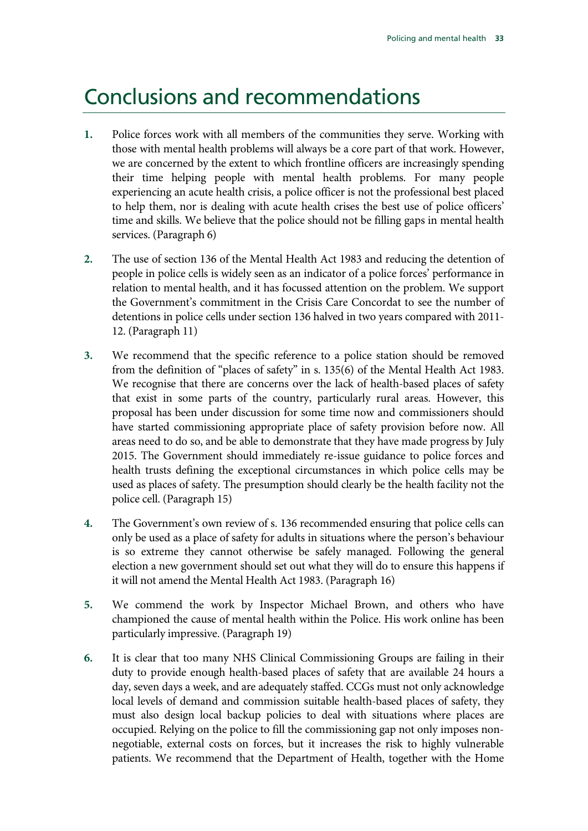### Conclusions and recommendations

- **1.** [Police forces work with all members of the communities they serve. Working with](#page-5-7)  [those with mental health problems will always be](#page-5-7) a core part of that work. However, [we are concerned by the extent to which frontline officers are increasingly spending](#page-5-7)  [their time helping people with mental health problems. For many people](#page-5-7)  [experiencing an acute health crisis, a police officer is not the](#page-5-7) professional best placed [to help them, nor is dealing with acute health crises the best use of police officers'](#page-5-7)  [time and skills. We believe that the police should not be filling gaps in mental health](#page-5-7)  [services.](#page-5-7) (Paragrap[h 6\)](#page-5-7)
- **2.** [The use of section 136 of the Mental Health Act 1983 and reducing the detention of](#page-7-3)  [people in police cells is widely seen as an indicator of a police forces' performance in](#page-7-3)  [relation to mental health, and it has focussed attention on the problem. We support](#page-7-3)  [the Government's commitment in the Crisis Care Concordat to see the number of](#page-7-3)  [detentions in police cells under section 136 halved in two years compared with 2011-](#page-7-3) [12.](#page-7-3) (Paragraph [11\)](#page-7-3)
- **3.** [We recommend that the specific reference to a police station should be removed](#page-9-5)  [from the definition of "places of safety" in s. 135\(6\) of the Mental Health Act 1983.](#page-9-5)  [We recognise that there are concerns over the lack of health-based places of safety](#page-9-5)  [that exist in some parts of the country, particularly rural areas. However, this](#page-9-5)  [proposal has been under discussion for some time now and commissioners should](#page-9-5)  [have started commissioning appropriate place of safety provision before now. All](#page-9-5)  [areas need to do so, and be able to demonstrate that they have made progress by July](#page-9-5)  [2015. The Government should immediately re-issue guidance to police forces and](#page-9-5)  [health trusts defining the exceptional circumstances in which police cells may be](#page-9-5)  [used as places of safety. The presumption should clearly be the health facility not the](#page-9-5)  [police cell.](#page-9-5) (Paragrap[h 15\)](#page-9-5)
- **4.** [The Government's own review of s. 136 recommended ensuring that police cells can](#page-9-6)  [only be used as a place of safety for adults in situations where the person's behaviour](#page-9-6)  [is so extreme they cannot otherwise be safely managed. Following the general](#page-9-6)  [election a new government should set out what they will do to ensure this happens if](#page-9-6)  [it will not amend the Mental Health Act 1983.](#page-9-6) (Paragraph [16\)](#page-9-6)
- **5.** [We commend the work by Inspector Michael Brown, and others who have](#page-10-7)  [championed the cause of mental health within the Police. His work online has been](#page-10-7)  [particularly impressive.](#page-10-7) (Paragraph [19\)](#page-10-7)
- **6.** [It is clear that too many NHS Clinical Commissioning Groups are failing in their](#page-10-8)  [duty to provide enough health-based places of safety that are available 24 hours a](#page-10-8)  [day, seven days a week, and are adequately staffed. CCGs must not only acknowledge](#page-10-8)  [local levels of demand and commission suitable health-based places of safety, they](#page-10-8)  [must also design local backup policies to deal with situations where places are](#page-10-8)  [occupied. Relying on the police to fill the commissioning gap not only imposes non](#page-10-8)[negotiable, external costs on forces, but it increases the risk to highly vulnerable](#page-10-8)  [patients. We recommend that the Department of Health, together with the Home](#page-10-8)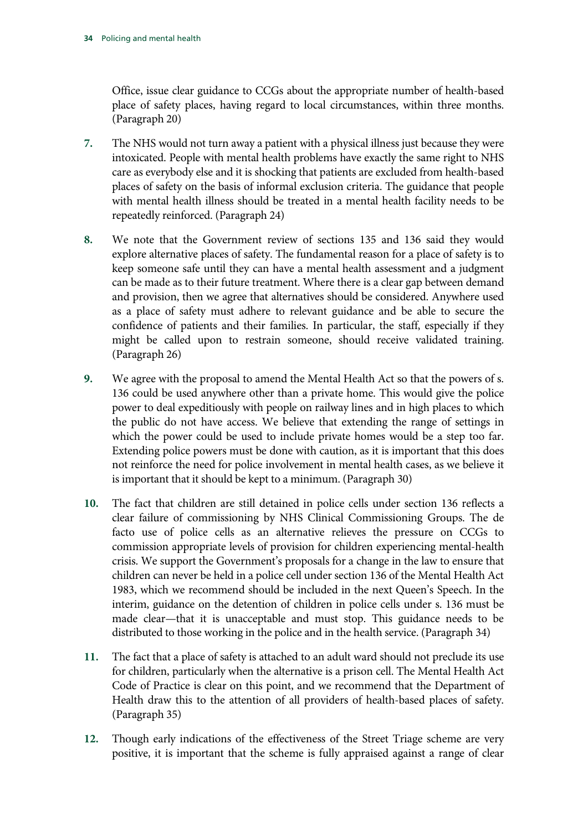[Office, issue clear guidance to CCGs about the appropriate number of health-based](#page-10-8)  [place of safety places, having regard to local circumstances, within three months.](#page-10-8) (Paragrap[h 20\)](#page-10-8)

- **7.** The NHS would not turn away [a patient with a physical illness just because they were](#page-11-4)  [intoxicated. People with mental health problems have exactly the same right to NHS](#page-11-4)  [care as everybody else and it is shocking that patients are excluded from health-based](#page-11-4)  [places of safety on the basis of informal exclusion criteria. The guidance that people](#page-11-4)  [with mental health illness should be treated in a mental health facility needs to be](#page-11-4)  [repeatedly reinforced.](#page-11-4) (Paragraph [24\)](#page-11-4)
- **8.** [We note that the Government review of sections 135 and 136 said they would](#page-12-8)  [explore alternative places of safety. The fundamental reason for a place of safety is to](#page-12-8)  [keep someone safe until they can have a mental health assessment and a judgment](#page-12-8)  [can be made as to their future treatment. Where there is a clear gap between demand](#page-12-8)  [and provision, then we agree that alternatives should be considered. Anywhere used](#page-12-8)  [as a place of safety must adhere to relevant guidance and be able to secure the](#page-12-8)  [confidence of patients and their families. In particular, the staff, especially if they](#page-12-8)  [might be called upon to restrain someone, should receive validated training.](#page-12-8) (Paragrap[h 26\)](#page-12-8)
- **9.** [We agree with the proposal to amend the Mental Health Act so that the powers of s.](#page-13-4)  136 could be used [anywhere other than a private home. This would give the police](#page-13-4)  [power to deal expeditiously with people on railway lines and in high places to which](#page-13-4)  [the public do not have access. We believe that extending the range of settings in](#page-13-4)  [which the power could be used to include private homes would be a step too far.](#page-13-4)  [Extending police powers must be done with caution, as it is important that this does](#page-13-4)  [not reinforce the need for police involvement in mental health cases, as we believe it](#page-13-4)  [is important that it should be kept to a minimum.](#page-13-4) (Paragraph [30\)](#page-13-4)
- **10.** [The fact that children are still detained in police cells under section 136 reflects a](#page-15-5)  [clear failure of commissioning by NHS Clinical Commissioning Groups. The de](#page-15-5)  [facto use of police cells as an alternative relieves the pressure on CCGs to](#page-15-5)  [commission appropriate levels of provision for children experiencing mental-health](#page-15-5)  [crisis. We support the Government's proposals for a change in the law to ensure that](#page-15-5)  [children can never be held in a police cell under section 136 of the Mental Health Act](#page-15-5)  [1983, which we recommend should be included in the next Queen's Speech. In the](#page-15-5)  [interim, guidance on the detention of children in police cells under s. 136 must be](#page-15-5)  [made clear—that it is unacceptable and must stop. This guidance needs to be](#page-15-5)  [distributed to those working in the police and in the health service. \(](#page-15-5)Paragrap[h 34\)](#page-15-5)
- **11.** [The fact that a place of safety is attached to an adult ward should not preclude its use](#page-15-6)  [for children, particularly when the alternative is a prison cell. The Mental Health Act](#page-15-6)  [Code of Practice is clear on this point, and we recommend that the Department of](#page-15-6)  [Health draw this to the attention of all providers of health-based places of safety.](#page-15-6) (Paragrap[h 35\)](#page-15-6)
- **12.** [Though early indications of the effectiveness of the Street Triage scheme are very](#page-17-7)  [positive, it is important that the scheme is fully appraised against a range of clear](#page-17-7)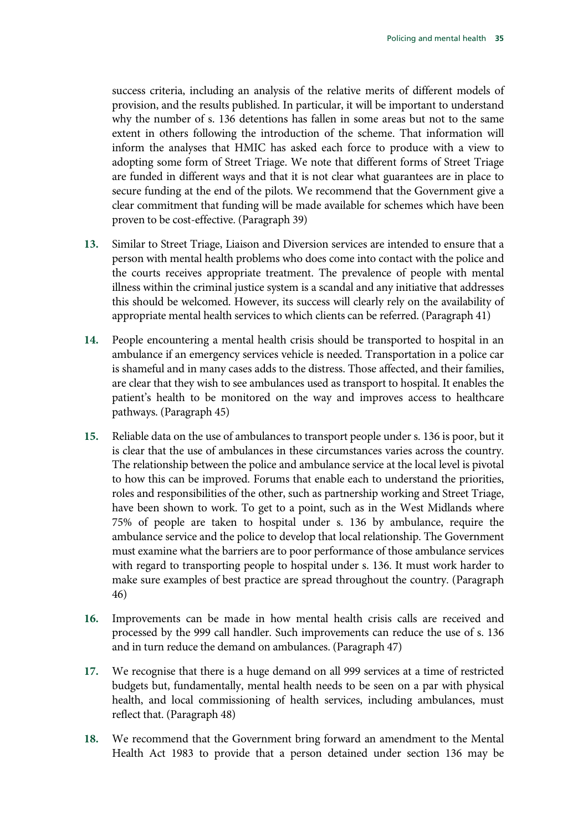[success criteria, including an analysis of the relative merits of different models of](#page-17-7)  [provision, and the results published. In particular, it will be important to understand](#page-17-7)  [why the number of s. 136 detentions has fallen in some areas but not](#page-17-7) to the same [extent in others following the introduction of the scheme. That information will](#page-17-7)  [inform the analyses that HMIC has asked each force to produce with a view to](#page-17-7)  [adopting some form of Street Triage. We note that different forms of Street Triage](#page-17-7)  [are funded in different ways and that it is not clear what guarantees are in place to](#page-17-7)  [secure funding at the end of the pilots. We recommend that the Government give a](#page-17-7)  [clear commitment that funding will be made available for schemes which have been](#page-17-7)  [proven to be cost-effective.](#page-17-7) (Paragraph [39\)](#page-17-7)

- **13.** [Similar to Street Triage, Liaison and Diversion services are intended to ensure that a](#page-17-8)  [person with mental health problems who does come into contact with the police and](#page-17-8)  [the courts receives appropriate treatment. The prevalence of people with mental](#page-17-8)  [illness within the criminal justice system is a scandal and any initiative that addresses](#page-17-8)  [this should be welcomed. However, its success will clearly rely on the availability of](#page-17-8)  [appropriate mental health services to which clients can be referred.](#page-17-8) (Paragraph [41\)](#page-17-8)
- **14.** [People encountering a mental health crisis should be transported to hospital in an](#page-18-4)  [ambulance if an emergency services vehicle is needed. Transportation in a police car](#page-18-4)  [is shameful and in many cases adds to the distress. Those affected, and their families,](#page-18-4)  [are clear that they wish to see ambulances used as transport to hospital. It enables the](#page-18-4)  [patient's health to be monitored on the way and improves access to healthcare](#page-18-4)  [pathways.](#page-18-4) (Paragrap[h 45\)](#page-18-4)
- **15.** [Reliable data on the use of ambulances to transport people under s. 136 is poor, but it](#page-19-3)  [is clear that the use of ambulances in these circumstances varies across the country.](#page-19-3)  [The relationship between the police and ambulance service at the local level is pivotal](#page-19-3)  [to how this can be improved. Forums that enable each to understand the priorities,](#page-19-3)  [roles and responsibilities of the other, such as partnership working and Street Triage,](#page-19-3)  [have been shown to work. To get to a point, such as in the West Midlands where](#page-19-3)  [75% of people are taken to hospital under s. 136 by ambulance, require the](#page-19-3)  [ambulance service and the police to develop that local relationship. The Government](#page-19-3)  [must examine what the barriers are to poor performance of those ambulance services](#page-19-3)  [with regard to transporting people to hospital under s. 136. It must work harder to](#page-19-3)  [make sure examples of best practice are spread throughout the country.](#page-19-3) (Paragraph [46\)](#page-19-3)
- **16.** [Improvements can be made in how mental health crisis calls are received and](#page-19-4)  [processed by the 999 call handler. Such improvements can reduce the use of s. 136](#page-19-4)  [and in turn reduce the demand on ambulances. \(](#page-19-4)Paragraph [47\)](#page-19-4)
- **17.** [We recognise that there is a huge demand on all 999 services at a time of restricted](#page-19-5)  [budgets but, fundamentally, mental health needs to be seen on a par with physical](#page-19-5)  [health, and local commissioning of health services, including ambulances, must](#page-19-5)  [reflect that.](#page-19-5) (Paragrap[h 48\)](#page-19-5)
- **18.** [We recommend that the Government bring forward an amendment to the Mental](#page-20-5)  [Health Act 1983 to provide that a person detained under section 136 may be](#page-20-5)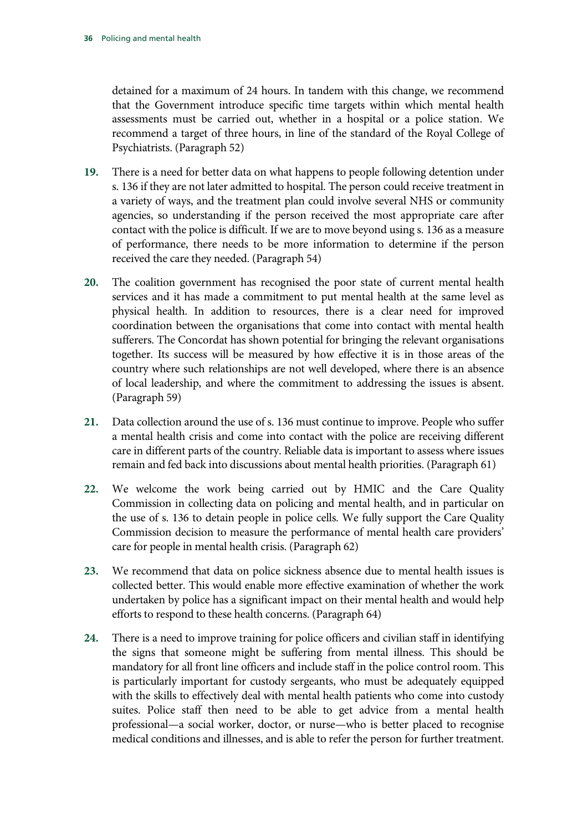detained for a maximum [of 24 hours. In tandem with this change, we recommend](#page-20-5)  [that the Government introduce specific time targets within which mental health](#page-20-5)  [assessments must be carried out, whether in a hospital or a police station. We](#page-20-5)  [recommend a target of three hours, in line of the standard of the Royal College of](#page-20-5)  [Psychiatrists.](#page-20-5) (Paragraph [52\)](#page-20-5)

- **19.** There is a need for [better data on what happens to people following detention under](#page-21-3)  [s. 136 if they are not later admitted to hospital. The person could receive treatment in](#page-21-3)  [a variety of ways, and the treatment plan could involve several NHS or community](#page-21-3)  [agencies, so understanding if the person received the most appropriate care after](#page-21-3)  [contact with the police is difficult. If we are to move beyond using s. 136 as a measure](#page-21-3)  [of performance, there needs to be more information to determine if the person](#page-21-3)  [received the care they needed.](#page-21-3) (Paragraph [54\)](#page-21-3)
- **20.** [The coalition government has recognised the poor state of current mental health](#page-22-6)  [services and it has made a commitment to put mental health at the same level as](#page-22-6)  [physical health. In addition to resources, there is a clear need for improved](#page-22-6)  [coordination between the organisations that come into contact with mental health](#page-22-6)  [sufferers. The Concordat has shown potential for bringing the relevant organisations](#page-22-6)  [together. Its success will be measured by how effective it is in those areas of the](#page-22-6)  [country where such relationships are not well developed, where there is an absence](#page-22-6)  [of local leadership, and where the commitment to addressing the issues is absent.](#page-22-6) (Paragrap[h 59\)](#page-22-6)
- **21.** [Data collection around the use of s. 136 must continue to improve. People who suffer](#page-23-4)  [a mental health crisis and come into contact with the police are receiving different](#page-23-4)  [care in different parts of the country. Reliable data is important to assess where issues](#page-23-4)  [remain and fed back into discussions about mental health priorities.](#page-23-4) (Paragraph [61\)](#page-23-4)
- **22.** [We welcome the work being carried out by HMIC and the Care Quality](#page-23-5)  [Commission in collecting data on policing and mental health, and in particular on](#page-23-5)  [the use of s. 136 to detain people in police cells. We fully support the Care Quality](#page-23-5)  [Commission decision to measure the performance of mental health care providers'](#page-23-5)  [care for people in mental health crisis.](#page-23-5) (Paragraph [62\)](#page-23-5)
- **23.** [We recommend that data on police sickness absence due to mental health issues](#page-23-6) is [collected better. This would enable more effective examination of whether the work](#page-23-6)  [undertaken by police has a significant impact on their mental health and would help](#page-23-6)  [efforts to respond to these health concerns. \(](#page-23-6)Paragraph [64\)](#page-23-6)
- **24.** [There is a need to improve training for police officers and civilian staff in identifying](#page-25-4)  [the signs that someone might be suffering from mental illness. This should be](#page-25-4)  [mandatory for all front line officers and include staff in the police control room. This](#page-25-4) [is particularly important for custody sergeants, who must be adequately equipped](#page-25-4)  [with the skills to effectively deal with mental health patients who come into custody](#page-25-4)  [suites. Police staff then need to be able to get advice from a mental health](#page-25-4)  [professional—a social worker, doctor, or nurse—who is better placed to recognise](#page-25-4)  [medical conditions and illnesses, and is able to refer the person for further treatment.](#page-25-4)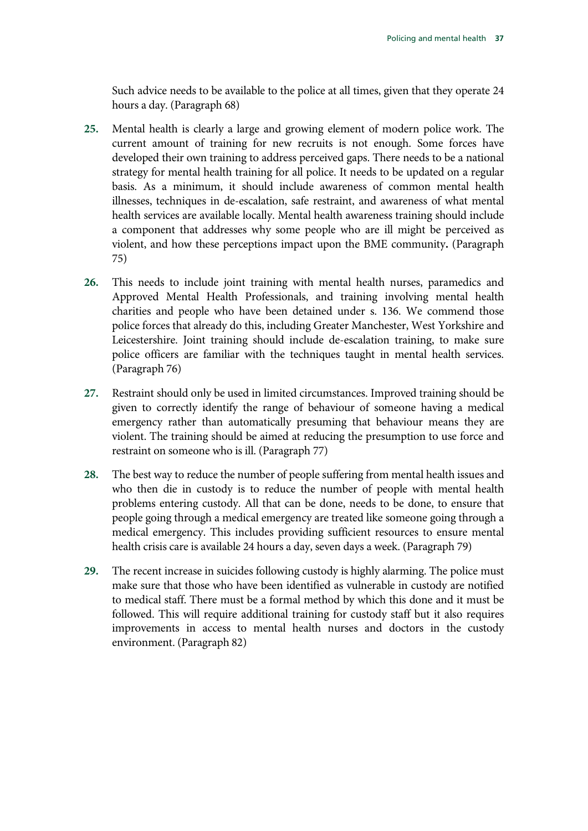[Such advice needs to be available to the police at all times, given that they operate 24](#page-25-4)  [hours a day.](#page-25-4) (Paragrap[h 68](#page-25-4)[\)](#page-27-2)

- **25.** [Mental health is clearly a large and growing element of modern police](#page-27-2) work. The [current amount of training for new recruits is not enough. Some forces have](#page-27-2)  [developed their own training to address perceived gaps. There needs to be a national](#page-27-2)  [strategy for mental health training for all police. It needs to be updated on a regular](#page-27-2)  [basis. As a minimum, it should include awareness of common mental health](#page-27-2)  [illnesses, techniques in de-escalation, safe restraint, and awareness of what mental](#page-27-2)  [health services are available locally. Mental health awareness training should include](#page-27-2)  [a component that addresses why some people who are ill might be perceived as](#page-27-2)  [violent, and how these perceptions impact upon the BME community](#page-27-2)**.** (Paragraph 75)
- **26.** [This needs to include joint training with mental health nurses, paramedics and](#page-27-3)  [Approved Mental Health Professionals, and training involving mental health](#page-27-3)  [charities and people who have been detained under s. 136. We commend those](#page-27-3)  [police forces that already do this, including Greater Manchester, West Yorkshire and](#page-27-3)  [Leicestershire. Joint training should include de-escalation training, to make sure](#page-27-3)  [police officers are familiar with the techniques taught in mental health services.](#page-27-3) (Paragrap[h 76\)](#page-27-3)
- **27.** [Restraint should only be used in limited circumstances. Improved training should be](#page-27-4)  given to correctly identify the range [of behaviour of someone having a medical](#page-27-4)  [emergency rather than automatically presuming that behaviour means they are](#page-27-4)  [violent. The training should be aimed at reducing the presumption to use force and](#page-27-4)  [restraint on someone who is ill. \(](#page-27-4)Paragraph [77\)](#page-27-4)
- **28.** [The best way to reduce the number of people suffering from mental health issues and](#page-28-5)  [who then die in custody is to reduce the number of people with mental health](#page-28-5)  [problems entering custody. All that can be done, needs to be done, to ensure that](#page-28-5)  [people going through a medical emergency are treated like someone going through a](#page-28-5)  [medical emergency. This includes providing sufficient resources to ensure mental](#page-28-5)  [health crisis care is available 24 hours a day, seven days a week. \(](#page-28-5)Paragraph [79\)](#page-28-5)
- **29.** [The recent increase in suicides following custody is highly alarming. The police must](#page-29-2)  [make sure that those who have been identified as vulnerable in custody are notified](#page-29-2)  [to medical staff. There must be a formal method by which this done and it must be](#page-29-2)  [followed. This will require additional training for custody staff but it also requires](#page-29-2)  [improvements in access to mental health nurses and doctors in the custody](#page-29-2)  [environment.](#page-29-2) (Paragrap[h 82\)](#page-29-2)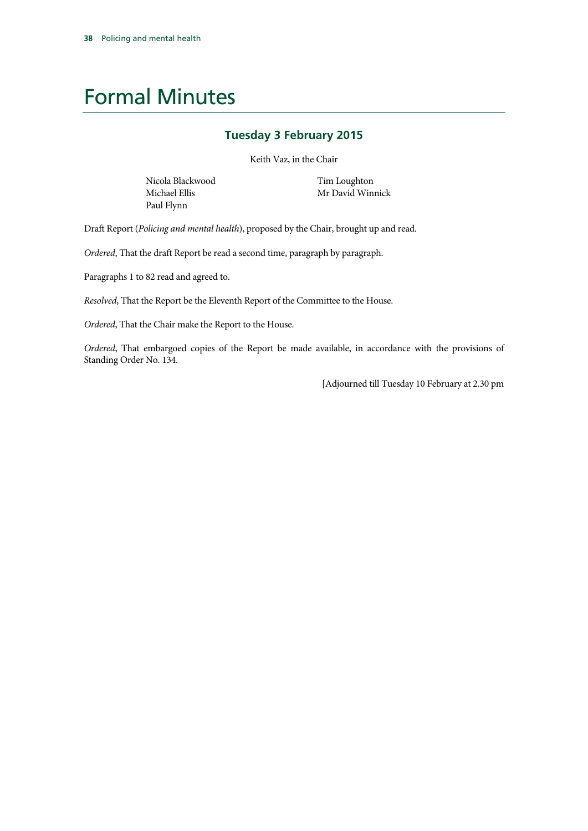# Formal Minutes

#### **Tuesday 3 February 2015**

Keith Vaz, in the Chair

Nicola Blackwood Michael Ellis Paul Flynn

Tim Loughton Mr David Winnick

Draft Report (*Policing and mental health*), proposed by the Chair, brought up and read.

*Ordered*, That the draft Report be read a second time, paragraph by paragraph.

Paragraphs 1 to 82 read and agreed to.

*Resolved*, That the Report be the Eleventh Report of the Committee to the House.

*Ordered*, That the Chair make the Report to the House.

*Ordered*, That embargoed copies of the Report be made available, in accordance with the provisions of Standing Order No. 134.

[Adjourned till Tuesday 10 February at 2.30 pm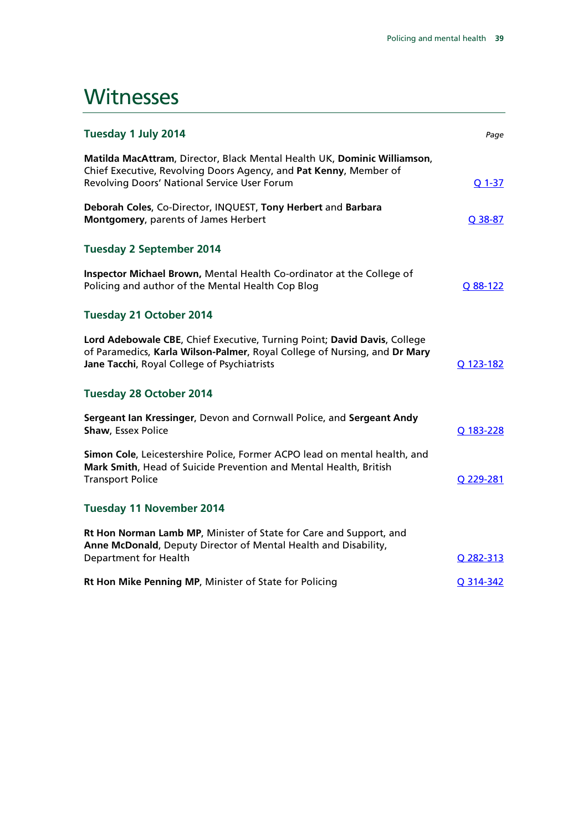### **Witnesses**

| Tuesday 1 July 2014                                                                                                                                                                                  | Page      |
|------------------------------------------------------------------------------------------------------------------------------------------------------------------------------------------------------|-----------|
| Matilda MacAttram, Director, Black Mental Health UK, Dominic Williamson,<br>Chief Executive, Revolving Doors Agency, and Pat Kenny, Member of<br>Revolving Doors' National Service User Forum        | Q 1-37    |
| Deborah Coles, Co-Director, INQUEST, Tony Herbert and Barbara<br>Montgomery, parents of James Herbert                                                                                                | $O$ 38-87 |
| <b>Tuesday 2 September 2014</b>                                                                                                                                                                      |           |
| Inspector Michael Brown, Mental Health Co-ordinator at the College of<br>Policing and author of the Mental Health Cop Blog                                                                           | Q 88-122  |
| <b>Tuesday 21 October 2014</b>                                                                                                                                                                       |           |
| Lord Adebowale CBE, Chief Executive, Turning Point; David Davis, College<br>of Paramedics, Karla Wilson-Palmer, Royal College of Nursing, and Dr Mary<br>Jane Tacchi, Royal College of Psychiatrists | Q 123-182 |
| <b>Tuesday 28 October 2014</b>                                                                                                                                                                       |           |
| Sergeant Ian Kressinger, Devon and Cornwall Police, and Sergeant Andy<br>Shaw, Essex Police                                                                                                          | Q 183-228 |
| Simon Cole, Leicestershire Police, Former ACPO lead on mental health, and<br>Mark Smith, Head of Suicide Prevention and Mental Health, British<br><b>Transport Police</b>                            | Q 229-281 |
| <b>Tuesday 11 November 2014</b>                                                                                                                                                                      |           |
| Rt Hon Norman Lamb MP, Minister of State for Care and Support, and<br>Anne McDonald, Deputy Director of Mental Health and Disability,                                                                |           |
| Department for Health                                                                                                                                                                                | Q 282-313 |
| Rt Hon Mike Penning MP, Minister of State for Policing                                                                                                                                               | Q 314-342 |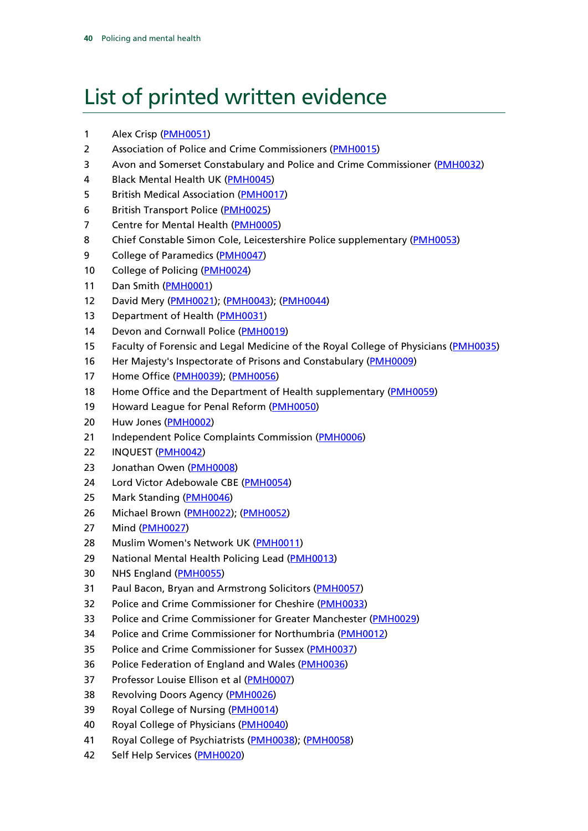# List of printed written evidence

- 1 Alex Crisp [\(PMH0051\)](http://data.parliament.uk/WrittenEvidence/CommitteeEvidence.svc/EvidenceDocument/Home%20Affairs/Policing%20and%20mental%20health/written/13417.html)
- 2 Association of Police and Crime Commissioners [\(PMH0015\)](http://data.parliament.uk/WrittenEvidence/CommitteeEvidence.svc/EvidenceDocument/Home%20Affairs/Policing%20and%20mental%20health/written/9156.html)
- 3 Avon and Somerset Constabulary and Police and Crime Commissioner [\(PMH0032\)](http://data.parliament.uk/WrittenEvidence/CommitteeEvidence.svc/EvidenceDocument/Home%20Affairs/Policing%20and%20mental%20health/written/9199.html)
- 4 Black Mental Health UK [\(PMH0045\)](http://data.parliament.uk/WrittenEvidence/CommitteeEvidence.svc/EvidenceDocument/Home%20Affairs/Policing%20and%20mental%20health/written/11084.html)
- 5 British Medical Association [\(PMH0017\)](http://data.parliament.uk/WrittenEvidence/CommitteeEvidence.svc/EvidenceDocument/Home%20Affairs/Policing%20and%20mental%20health/written/9161.html)
- 6 British Transport Police [\(PMH0025\)](http://data.parliament.uk/WrittenEvidence/CommitteeEvidence.svc/EvidenceDocument/Home%20Affairs/Policing%20and%20mental%20health/written/9179.html)
- 7 Centre for Mental Health [\(PMH0005\)](http://data.parliament.uk/WrittenEvidence/CommitteeEvidence.svc/EvidenceDocument/Home%20Affairs/Policing%20and%20mental%20health/written/8972.html)
- 8 Chief Constable Simon Cole, Leicestershire Police supplementary [\(PMH0053\)](http://data.parliament.uk/WrittenEvidence/CommitteeEvidence.svc/EvidenceDocument/Home%20Affairs/Policing%20and%20mental%20health/written/15206.html)
- 9 College of Paramedics [\(PMH0047\)](http://data.parliament.uk/WrittenEvidence/CommitteeEvidence.svc/EvidenceDocument/Home%20Affairs/Policing%20and%20mental%20health/written/11946.html)
- 10 College of Policing [\(PMH0024\)](http://data.parliament.uk/WrittenEvidence/CommitteeEvidence.svc/EvidenceDocument/Home%20Affairs/Policing%20and%20mental%20health/written/9178.html)
- 11 Dan Smith [\(PMH0001\)](http://data.parliament.uk/WrittenEvidence/CommitteeEvidence.svc/EvidenceDocument/Home%20Affairs/Policing%20and%20mental%20health/written/7971.html)
- 12 David Mery [\(PMH0021\)](http://data.parliament.uk/WrittenEvidence/CommitteeEvidence.svc/EvidenceDocument/Home%20Affairs/Policing%20and%20mental%20health/written/9174.html); [\(PMH0043\)](http://data.parliament.uk/WrittenEvidence/CommitteeEvidence.svc/EvidenceDocument/Home%20Affairs/Policing%20and%20mental%20health/written/10531.html); [\(PMH0044\)](http://data.parliament.uk/WrittenEvidence/CommitteeEvidence.svc/EvidenceDocument/Home%20Affairs/Policing%20and%20mental%20health/written/10928.html)
- 13 Department of Health [\(PMH0031\)](http://data.parliament.uk/WrittenEvidence/CommitteeEvidence.svc/EvidenceDocument/Home%20Affairs/Policing%20and%20mental%20health/written/9190.html)
- 14 Devon and Cornwall Police [\(PMH0019\)](http://data.parliament.uk/WrittenEvidence/CommitteeEvidence.svc/EvidenceDocument/Home%20Affairs/Policing%20and%20mental%20health/written/9165.html)
- 15 Faculty of Forensic and Legal Medicine of the Royal College of Physicians [\(PMH0035\)](http://data.parliament.uk/WrittenEvidence/CommitteeEvidence.svc/EvidenceDocument/Home%20Affairs/Policing%20and%20mental%20health/written/9269.html)
- 16 Her Majesty's Inspectorate of Prisons and Constabulary [\(PMH0009\)](http://data.parliament.uk/WrittenEvidence/CommitteeEvidence.svc/EvidenceDocument/Home%20Affairs/Policing%20and%20mental%20health/written/9122.html)
- 17 Home Office [\(PMH0039\)](http://data.parliament.uk/WrittenEvidence/CommitteeEvidence.svc/EvidenceDocument/Home%20Affairs/Policing%20and%20mental%20health/written/9550.html); [\(PMH0056\)](http://data.parliament.uk/WrittenEvidence/CommitteeEvidence.svc/EvidenceDocument/Home%20Affairs/Policing%20and%20mental%20health/written/15700.html)
- 18 Home Office and the Department of Health supplementary [\(PMH0059\)](http://data.parliament.uk/WrittenEvidence/CommitteeEvidence.svc/EvidenceDocument/Home%20Affairs/Policing%20and%20mental%20health/written/16880.html)
- 19 Howard League for Penal Reform [\(PMH0050\)](http://data.parliament.uk/WrittenEvidence/CommitteeEvidence.svc/EvidenceDocument/Home%20Affairs/Policing%20and%20mental%20health/written/12453.html)
- 20 Huw Jones [\(PMH0002\)](http://data.parliament.uk/WrittenEvidence/CommitteeEvidence.svc/EvidenceDocument/Home%20Affairs/Policing%20and%20mental%20health/written/8368.html)
- 21 Independent Police Complaints Commission [\(PMH0006\)](http://data.parliament.uk/WrittenEvidence/CommitteeEvidence.svc/EvidenceDocument/Home%20Affairs/Policing%20and%20mental%20health/written/9015.html)
- 22 INQUEST [\(PMH0042\)](http://data.parliament.uk/WrittenEvidence/CommitteeEvidence.svc/EvidenceDocument/Home%20Affairs/Policing%20and%20mental%20health/written/9810.html)
- 23 Jonathan Owen [\(PMH0008\)](http://data.parliament.uk/WrittenEvidence/CommitteeEvidence.svc/EvidenceDocument/Home%20Affairs/Policing%20and%20mental%20health/written/9081.html)
- 24 Lord Victor Adebowale CBE [\(PMH0054\)](http://data.parliament.uk/WrittenEvidence/CommitteeEvidence.svc/EvidenceDocument/Home%20Affairs/Policing%20and%20mental%20health/written/15208.html)
- 25 Mark Standing [\(PMH0046\)](http://data.parliament.uk/WrittenEvidence/CommitteeEvidence.svc/EvidenceDocument/Home%20Affairs/Policing%20and%20mental%20health/written/11303.html)
- 26 Michael Brown [\(PMH0022\)](http://data.parliament.uk/WrittenEvidence/CommitteeEvidence.svc/EvidenceDocument/Home%20Affairs/Policing%20and%20mental%20health/written/9176.html); [\(PMH0052\)](http://data.parliament.uk/WrittenEvidence/CommitteeEvidence.svc/EvidenceDocument/Home%20Affairs/Policing%20and%20mental%20health/written/13452.html)
- 27 Mind [\(PMH0027\)](http://data.parliament.uk/WrittenEvidence/CommitteeEvidence.svc/EvidenceDocument/Home%20Affairs/Policing%20and%20mental%20health/written/9184.html)
- 28 Muslim Women's Network UK [\(PMH0011\)](http://data.parliament.uk/WrittenEvidence/CommitteeEvidence.svc/EvidenceDocument/Home%20Affairs/Policing%20and%20mental%20health/written/9143.html)
- 29 National Mental Health Policing Lead [\(PMH0013\)](http://data.parliament.uk/WrittenEvidence/CommitteeEvidence.svc/EvidenceDocument/Home%20Affairs/Policing%20and%20mental%20health/written/9145.html)
- 30 NHS England [\(PMH0055\)](http://data.parliament.uk/WrittenEvidence/CommitteeEvidence.svc/EvidenceDocument/Home%20Affairs/Policing%20and%20mental%20health/written/15572.html)
- 31 Paul Bacon, Bryan and Armstrong Solicitors [\(PMH0057\)](http://data.parliament.uk/WrittenEvidence/CommitteeEvidence.svc/EvidenceDocument/Home%20Affairs/Policing%20and%20mental%20health/written/15715.html)
- 32 Police and Crime Commissioner for Cheshire [\(PMH0033\)](http://data.parliament.uk/WrittenEvidence/CommitteeEvidence.svc/EvidenceDocument/Home%20Affairs/Policing%20and%20mental%20health/written/9209.html)
- 33 Police and Crime Commissioner for Greater Manchester [\(PMH0029\)](http://data.parliament.uk/WrittenEvidence/CommitteeEvidence.svc/EvidenceDocument/Home%20Affairs/Policing%20and%20mental%20health/written/9186.html)
- 34 Police and Crime Commissioner for Northumbria [\(PMH0012\)](http://data.parliament.uk/WrittenEvidence/CommitteeEvidence.svc/EvidenceDocument/Home%20Affairs/Policing%20and%20mental%20health/written/9144.html)
- 35 Police and Crime Commissioner for Sussex [\(PMH0037\)](http://data.parliament.uk/WrittenEvidence/CommitteeEvidence.svc/EvidenceDocument/Home%20Affairs/Policing%20and%20mental%20health/written/9465.html)
- 36 Police Federation of England and Wales [\(PMH0036\)](http://data.parliament.uk/WrittenEvidence/CommitteeEvidence.svc/EvidenceDocument/Home%20Affairs/Policing%20and%20mental%20health/written/9343.html)
- 37 Professor Louise Ellison et al [\(PMH0007\)](http://data.parliament.uk/WrittenEvidence/CommitteeEvidence.svc/EvidenceDocument/Home%20Affairs/Policing%20and%20mental%20health/written/9067.html)
- 38 Revolving Doors Agency [\(PMH0026\)](http://data.parliament.uk/WrittenEvidence/CommitteeEvidence.svc/EvidenceDocument/Home%20Affairs/Policing%20and%20mental%20health/written/9180.html)
- 39 Royal College of Nursing [\(PMH0014\)](http://data.parliament.uk/WrittenEvidence/CommitteeEvidence.svc/EvidenceDocument/Home%20Affairs/Policing%20and%20mental%20health/written/9153.html)
- 40 Royal College of Physicians [\(PMH0040\)](http://data.parliament.uk/WrittenEvidence/CommitteeEvidence.svc/EvidenceDocument/Home%20Affairs/Policing%20and%20mental%20health/written/9560.html)
- 41 Royal College of Psychiatrists [\(PMH0038\)](http://data.parliament.uk/WrittenEvidence/CommitteeEvidence.svc/EvidenceDocument/Home%20Affairs/Policing%20and%20mental%20health/written/9482.html); [\(PMH0058\)](http://data.parliament.uk/WrittenEvidence/CommitteeEvidence.svc/EvidenceDocument/Home%20Affairs/Policing%20and%20mental%20health/written/15744.html)
- 42 Self Help Services [\(PMH0020\)](http://data.parliament.uk/WrittenEvidence/CommitteeEvidence.svc/EvidenceDocument/Home%20Affairs/Policing%20and%20mental%20health/written/9168.html)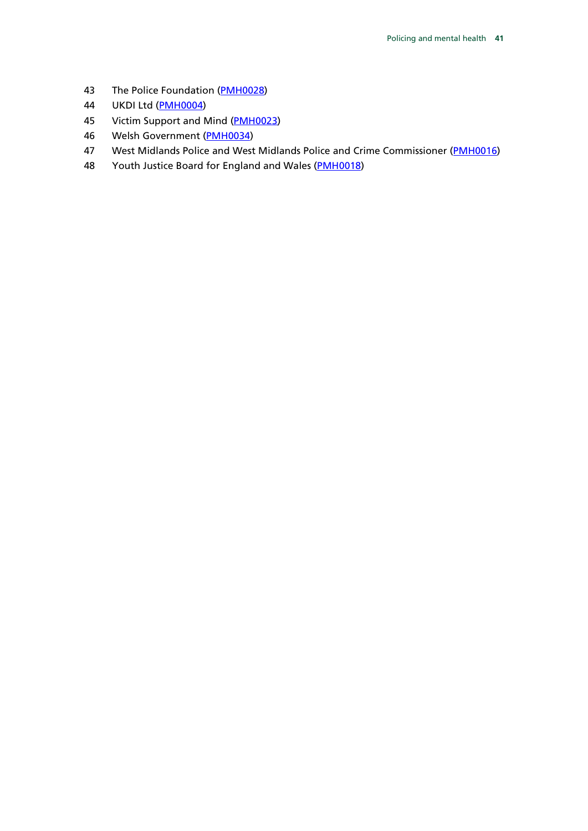- 43 The Police Foundation [\(PMH0028\)](http://data.parliament.uk/WrittenEvidence/CommitteeEvidence.svc/EvidenceDocument/Home%20Affairs/Policing%20and%20mental%20health/written/9185.html)
- 44 UKDI Ltd [\(PMH0004\)](http://data.parliament.uk/WrittenEvidence/CommitteeEvidence.svc/EvidenceDocument/Home%20Affairs/Policing%20and%20mental%20health/written/8903.html)
- 45 Victim Support and Mind [\(PMH0023\)](http://data.parliament.uk/WrittenEvidence/CommitteeEvidence.svc/EvidenceDocument/Home%20Affairs/Policing%20and%20mental%20health/written/9177.html)
- 46 Welsh Government [\(PMH0034\)](http://data.parliament.uk/WrittenEvidence/CommitteeEvidence.svc/EvidenceDocument/Home%20Affairs/Policing%20and%20mental%20health/written/9228.html)
- 47 West Midlands Police and West Midlands Police and Crime Commissioner [\(PMH0016\)](http://data.parliament.uk/WrittenEvidence/CommitteeEvidence.svc/EvidenceDocument/Home%20Affairs/Policing%20and%20mental%20health/written/9160.html)
- 48 Youth Justice Board for England and Wales [\(PMH0018\)](http://data.parliament.uk/WrittenEvidence/CommitteeEvidence.svc/EvidenceDocument/Home%20Affairs/Policing%20and%20mental%20health/written/9164.html)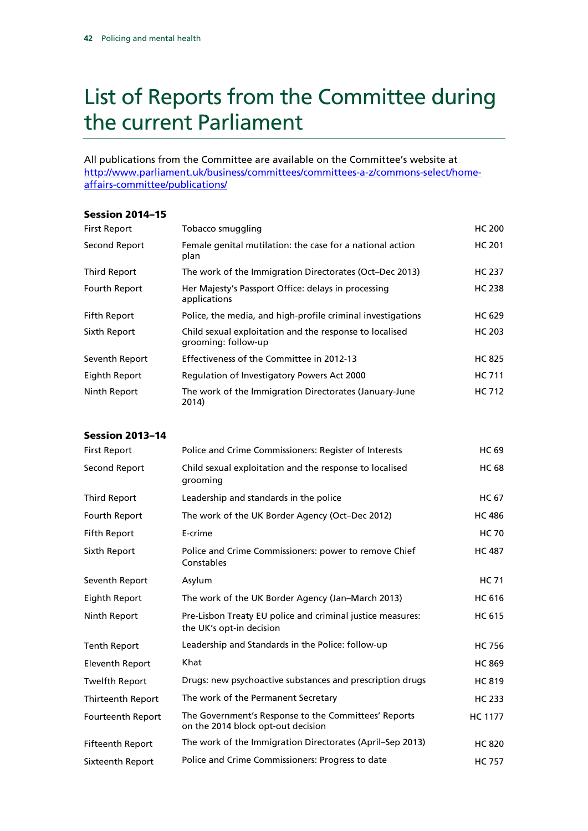# List of Reports from the Committee during the current Parliament

All publications from the Committee are available on the Committee's website at [http://www.parliament.uk/business/committees/committees-a-z/commons-select/home](http://www.parliament.uk/business/committees/committees-a-z/commons-select/home-affairs-committee/publications/)[affairs-committee/publications/](http://www.parliament.uk/business/committees/committees-a-z/commons-select/home-affairs-committee/publications/)

#### Session 2014–15

| <b>First Report</b> | Tobacco smuggling                                                              | <b>HC 200</b> |
|---------------------|--------------------------------------------------------------------------------|---------------|
| Second Report       | Female genital mutilation: the case for a national action<br>plan              | <b>HC 201</b> |
| Third Report        | The work of the Immigration Directorates (Oct–Dec 2013)                        | <b>HC 237</b> |
| Fourth Report       | Her Majesty's Passport Office: delays in processing<br>applications            | <b>HC 238</b> |
| Fifth Report        | Police, the media, and high-profile criminal investigations                    | <b>HC 629</b> |
| Sixth Report        | Child sexual exploitation and the response to localised<br>grooming: follow-up | <b>HC 203</b> |
| Seventh Report      | Effectiveness of the Committee in 2012-13                                      | <b>HC 825</b> |
| Eighth Report       | Regulation of Investigatory Powers Act 2000                                    | <b>HC 711</b> |
| Ninth Report        | The work of the Immigration Directorates (January-June<br>2014)                | HC 712        |

#### Session 2013–14

| <b>First Report</b>     | Police and Crime Commissioners: Register of Interests                                      | <b>HC 69</b>   |
|-------------------------|--------------------------------------------------------------------------------------------|----------------|
| Second Report           | Child sexual exploitation and the response to localised<br>grooming                        | <b>HC 68</b>   |
| Third Report            | Leadership and standards in the police                                                     | <b>HC 67</b>   |
| Fourth Report           | The work of the UK Border Agency (Oct-Dec 2012)                                            | <b>HC 486</b>  |
| <b>Fifth Report</b>     | E-crime                                                                                    | <b>HC 70</b>   |
| Sixth Report            | Police and Crime Commissioners: power to remove Chief<br>Constables                        | <b>HC 487</b>  |
| Seventh Report          | Asylum                                                                                     | <b>HC 71</b>   |
| Eighth Report           | The work of the UK Border Agency (Jan-March 2013)                                          | <b>HC 616</b>  |
| Ninth Report            | Pre-Lisbon Treaty EU police and criminal justice measures:<br>the UK's opt-in decision     | <b>HC 615</b>  |
| <b>Tenth Report</b>     | Leadership and Standards in the Police: follow-up                                          | <b>HC 756</b>  |
| Eleventh Report         | Khat                                                                                       | <b>HC 869</b>  |
| <b>Twelfth Report</b>   | Drugs: new psychoactive substances and prescription drugs                                  | <b>HC 819</b>  |
| Thirteenth Report       | The work of the Permanent Secretary                                                        | <b>HC 233</b>  |
| Fourteenth Report       | The Government's Response to the Committees' Reports<br>on the 2014 block opt-out decision | <b>HC 1177</b> |
| <b>Fifteenth Report</b> | The work of the Immigration Directorates (April–Sep 2013)                                  | <b>HC 820</b>  |
| Sixteenth Report        | Police and Crime Commissioners: Progress to date                                           | <b>HC 757</b>  |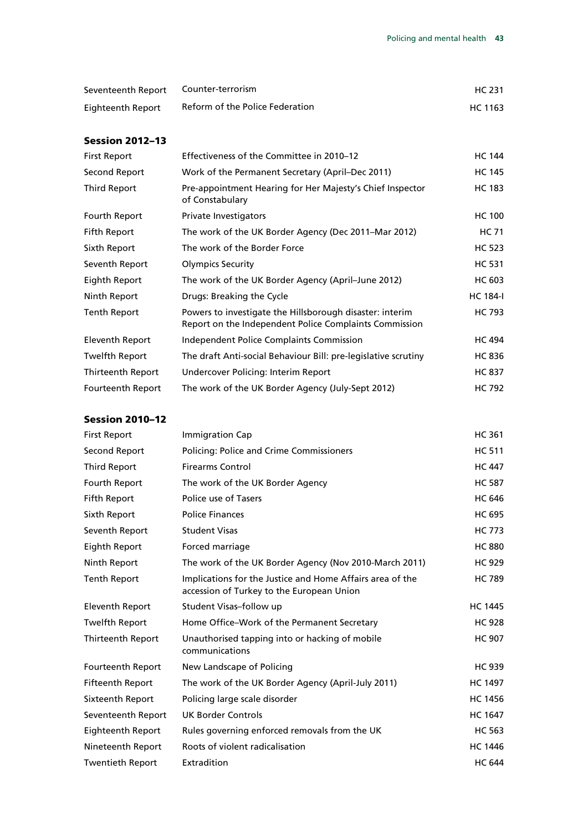| Seventeenth Report | Counter-terrorism               | HC 231  |
|--------------------|---------------------------------|---------|
| Eighteenth Report  | Reform of the Police Federation | HC 1163 |

#### Session 2012–13

| <b>First Report</b>    | Effectiveness of the Committee in 2010–12                                                                          | <b>HC 144</b>   |
|------------------------|--------------------------------------------------------------------------------------------------------------------|-----------------|
| Second Report          | Work of the Permanent Secretary (April–Dec 2011)                                                                   | <b>HC 145</b>   |
| Third Report           | Pre-appointment Hearing for Her Majesty's Chief Inspector<br>of Constabulary                                       | <b>HC 183</b>   |
| Fourth Report          | Private Investigators                                                                                              | <b>HC 100</b>   |
| Fifth Report           | The work of the UK Border Agency (Dec 2011–Mar 2012)                                                               | <b>HC 71</b>    |
| Sixth Report           | The work of the Border Force                                                                                       | <b>HC 523</b>   |
| Seventh Report         | <b>Olympics Security</b>                                                                                           | <b>HC 531</b>   |
| Eighth Report          | The work of the UK Border Agency (April–June 2012)                                                                 | <b>HC 603</b>   |
| Ninth Report           | Drugs: Breaking the Cycle                                                                                          | <b>HC 184-I</b> |
| <b>Tenth Report</b>    | Powers to investigate the Hillsborough disaster: interim<br>Report on the Independent Police Complaints Commission | <b>HC 793</b>   |
| <b>Eleventh Report</b> | <b>Independent Police Complaints Commission</b>                                                                    | <b>HC 494</b>   |
| Twelfth Report         | The draft Anti-social Behaviour Bill: pre-legislative scrutiny                                                     | <b>HC 836</b>   |
| Thirteenth Report      | Undercover Policing: Interim Report                                                                                | <b>HC 837</b>   |
| Fourteenth Report      | The work of the UK Border Agency (July-Sept 2012)                                                                  | <b>HC 792</b>   |

#### Session 2010–12

| <b>First Report</b>     | Immigration Cap                                                                                        | <b>HC 361</b>  |
|-------------------------|--------------------------------------------------------------------------------------------------------|----------------|
| Second Report           | Policing: Police and Crime Commissioners                                                               | <b>HC 511</b>  |
| <b>Third Report</b>     | <b>Firearms Control</b>                                                                                | <b>HC 447</b>  |
| Fourth Report           | The work of the UK Border Agency                                                                       | <b>HC 587</b>  |
| <b>Fifth Report</b>     | Police use of Tasers                                                                                   | <b>HC 646</b>  |
| Sixth Report            | <b>Police Finances</b>                                                                                 | <b>HC 695</b>  |
| Seventh Report          | <b>Student Visas</b>                                                                                   | <b>HC 773</b>  |
| Eighth Report           | Forced marriage                                                                                        | <b>HC 880</b>  |
| Ninth Report            | The work of the UK Border Agency (Nov 2010-March 2011)                                                 | <b>HC 929</b>  |
| <b>Tenth Report</b>     | Implications for the Justice and Home Affairs area of the<br>accession of Turkey to the European Union | <b>HC 789</b>  |
| <b>Eleventh Report</b>  | Student Visas-follow up                                                                                | <b>HC 1445</b> |
| <b>Twelfth Report</b>   | Home Office–Work of the Permanent Secretary                                                            | <b>HC 928</b>  |
| Thirteenth Report       | Unauthorised tapping into or hacking of mobile<br>communications                                       | <b>HC 907</b>  |
| Fourteenth Report       | New Landscape of Policing                                                                              | <b>HC 939</b>  |
| Fifteenth Report        | The work of the UK Border Agency (April-July 2011)                                                     | <b>HC 1497</b> |
| Sixteenth Report        | Policing large scale disorder                                                                          | <b>HC 1456</b> |
| Seventeenth Report      | <b>UK Border Controls</b>                                                                              | <b>HC 1647</b> |
| Eighteenth Report       | Rules governing enforced removals from the UK                                                          | <b>HC 563</b>  |
| Nineteenth Report       | Roots of violent radicalisation                                                                        | <b>HC 1446</b> |
| <b>Twentieth Report</b> | Extradition                                                                                            | <b>HC 644</b>  |